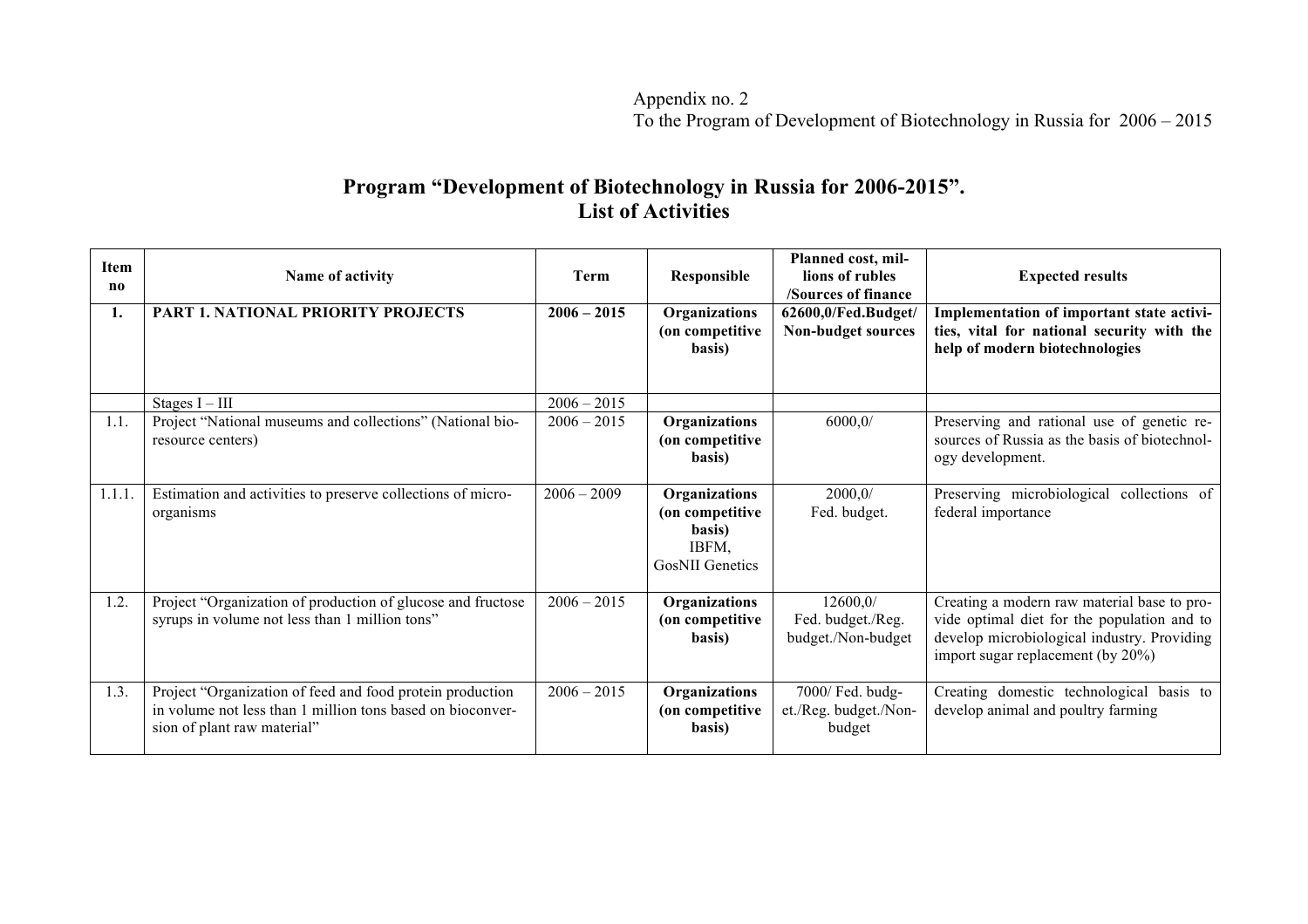Appendix no. 2 To the Program of Development of Biotechnology in Russia for 2006 – 2015

## **Program "Development of Biotechnology in Russia for 2006-2015". List of Activities**

| <b>Item</b><br>no | Name of activity                                                                                                                                       | Term          | Responsible                                                                   | Planned cost, mil-<br>lions of rubles<br><b>/Sources of finance</b> | <b>Expected results</b>                                                                                                                                                        |
|-------------------|--------------------------------------------------------------------------------------------------------------------------------------------------------|---------------|-------------------------------------------------------------------------------|---------------------------------------------------------------------|--------------------------------------------------------------------------------------------------------------------------------------------------------------------------------|
| 1.                | <b>PART 1. NATIONAL PRIORITY PROJECTS</b>                                                                                                              | $2006 - 2015$ | Organizations<br>(on competitive<br>basis)                                    | 62600,0/Fed.Budget/<br>Non-budget sources                           | Implementation of important state activi-<br>ties, vital for national security with the<br>help of modern biotechnologies                                                      |
|                   | Stages $I - III$                                                                                                                                       | $2006 - 2015$ |                                                                               |                                                                     |                                                                                                                                                                                |
| 1.1.              | Project "National museums and collections" (National bio-<br>resource centers)                                                                         | $2006 - 2015$ | Organizations<br>(on competitive<br>basis)                                    | 6000,0/                                                             | Preserving and rational use of genetic re-<br>sources of Russia as the basis of biotechnol-<br>ogy development.                                                                |
| 1.1.1.            | Estimation and activities to preserve collections of micro-<br>organisms                                                                               | $2006 - 2009$ | Organizations<br>(on competitive<br>basis)<br>IBFM.<br><b>GosNII</b> Genetics | 2000,0/<br>Fed. budget.                                             | Preserving microbiological<br>collections of<br>federal importance                                                                                                             |
| 1.2.              | Project "Organization of production of glucose and fructose<br>syrups in volume not less than 1 million tons"                                          | $2006 - 2015$ | Organizations<br>(on competitive<br>basis)                                    | 12600,0/<br>Fed. budget./Reg.<br>budget./Non-budget                 | Creating a modern raw material base to pro-<br>vide optimal diet for the population and to<br>develop microbiological industry. Providing<br>import sugar replacement (by 20%) |
| 1.3.              | Project "Organization of feed and food protein production<br>in volume not less than 1 million tons based on bioconver-<br>sion of plant raw material" | $2006 - 2015$ | Organizations<br>(on competitive)<br>basis)                                   | 7000/ Fed. budg-<br>et./Reg. budget./Non-<br>budget                 | Creating domestic technological basis to<br>develop animal and poultry farming                                                                                                 |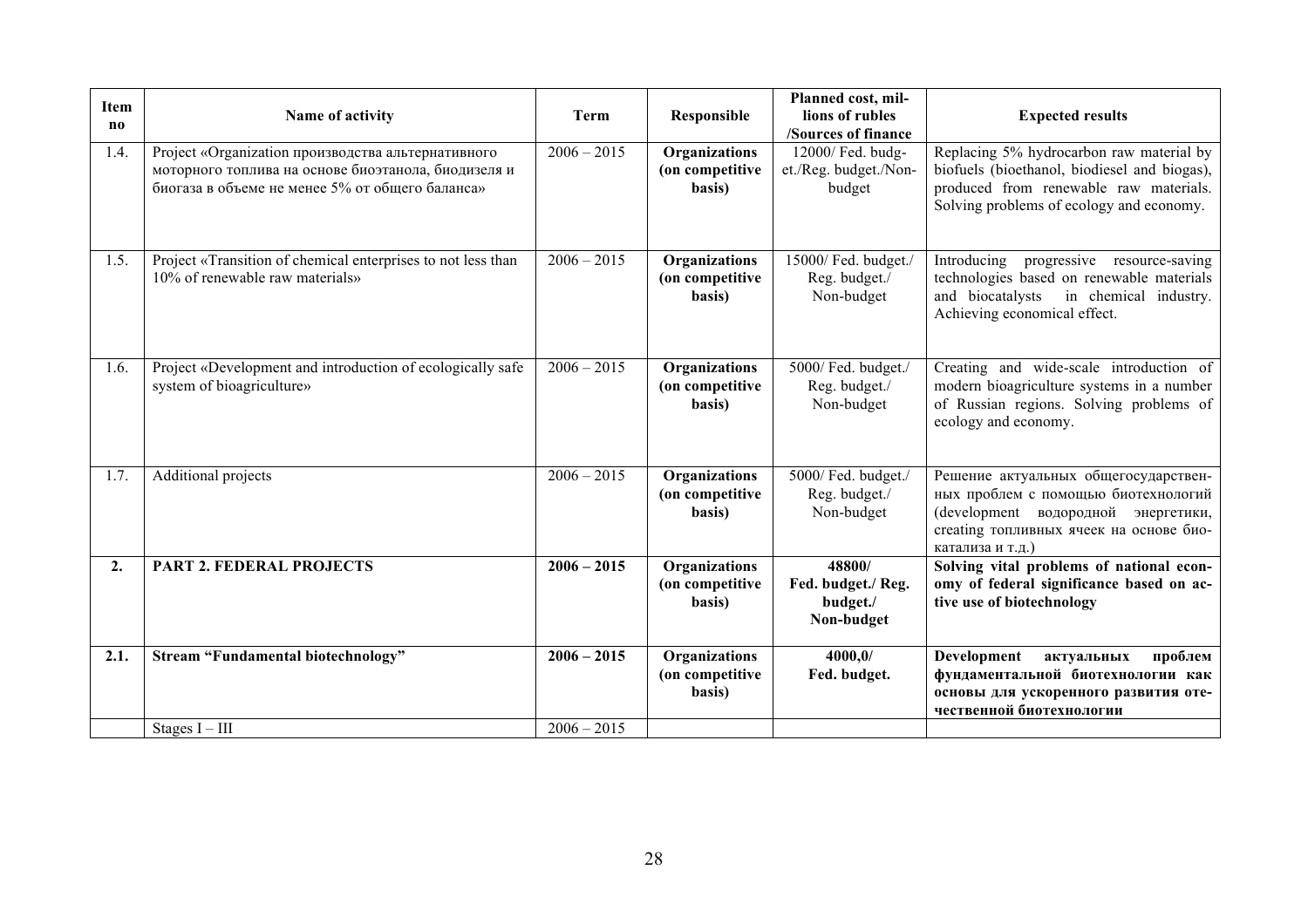| <b>Item</b><br>n <sub>0</sub> | Name of activity                                                                                                                                             | Term                           | Responsible                                       | Planned cost, mil-<br>lions of rubles<br>/Sources of finance | <b>Expected results</b>                                                                                                                                                           |
|-------------------------------|--------------------------------------------------------------------------------------------------------------------------------------------------------------|--------------------------------|---------------------------------------------------|--------------------------------------------------------------|-----------------------------------------------------------------------------------------------------------------------------------------------------------------------------------|
| 1.4.                          | Project «Organization производства альтернативного<br>моторного топлива на основе биоэтанола, биодизеля и<br>биогаза в объеме не менее 5% от общего баланса» | $2006 - 2015$                  | Organizations<br>(on competitive<br>basis)        | 12000/ Fed. budg-<br>et./Reg. budget./Non-<br>budget         | Replacing 5% hydrocarbon raw material by<br>biofuels (bioethanol, biodiesel and biogas),<br>produced from renewable raw materials.<br>Solving problems of ecology and economy.    |
| 1.5.                          | Project «Transition of chemical enterprises to not less than<br>10% of renewable raw materials»                                                              | $2006 - 2015$                  | <b>Organizations</b><br>(on competitive<br>basis) | 15000/ Fed. budget./<br>Reg. budget./<br>Non-budget          | Introducing<br>progressive resource-saving<br>technologies based on renewable materials<br>and biocatalysts<br>in chemical industry.<br>Achieving economical effect.              |
| 1.6.                          | Project «Development and introduction of ecologically safe<br>system of bioagriculture»                                                                      | $2006 - 2015$                  | <b>Organizations</b><br>(on competitive<br>basis) | 5000/ Fed. budget./<br>Reg. budget./<br>Non-budget           | Creating and wide-scale introduction of<br>modern bioagriculture systems in a number<br>of Russian regions. Solving problems of<br>ecology and economy.                           |
| 1.7.                          | Additional projects                                                                                                                                          | $2006 - 2015$                  | <b>Organizations</b><br>(on competitive<br>basis) | 5000/ Fed. budget./<br>Reg. budget./<br>Non-budget           | Решение актуальных общегосударствен-<br>ных проблем с помощью биотехнологий<br>(development водородной энергетики,<br>creating топливных ячеек на основе био-<br>катализа и т.д.) |
| 2.                            | <b>PART 2. FEDERAL PROJECTS</b>                                                                                                                              | $2006 - 2015$                  | <b>Organizations</b><br>(on competitive<br>basis) | 48800/<br>Fed. budget./ Reg.<br>budget./<br>Non-budget       | Solving vital problems of national econ-<br>omy of federal significance based on ac-<br>tive use of biotechnology                                                                 |
| 2.1.                          | <b>Stream "Fundamental biotechnology"</b>                                                                                                                    | $2006 - 2015$<br>$2006 - 2015$ | Organizations<br>(on competitive<br>basis)        | 4000,0/<br>Fed. budget.                                      | <b>Development</b><br>актуальных<br>проблем<br>фундаментальной биотехнологии как<br>основы для ускоренного развития оте-<br>чественной биотехнологии                              |
|                               | Stages $I - III$                                                                                                                                             |                                |                                                   |                                                              |                                                                                                                                                                                   |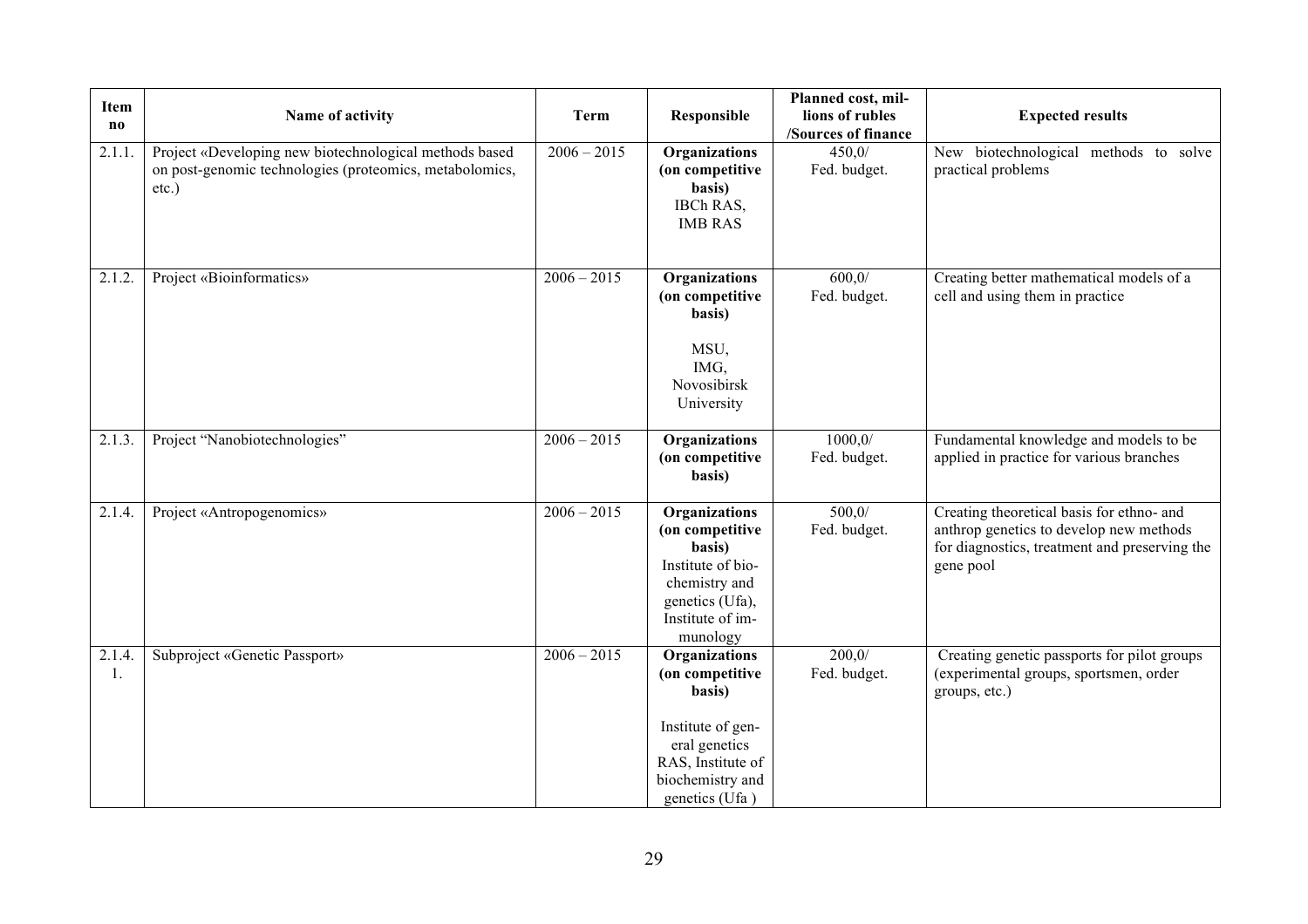| Item<br>no   | Name of activity                                                                                                              | <b>Term</b>   | Responsible                                                                                                                                 | Planned cost, mil-<br>lions of rubles<br>/Sources of finance | <b>Expected results</b>                                                                                                                            |
|--------------|-------------------------------------------------------------------------------------------------------------------------------|---------------|---------------------------------------------------------------------------------------------------------------------------------------------|--------------------------------------------------------------|----------------------------------------------------------------------------------------------------------------------------------------------------|
| 2.1.1.       | Project «Developing new biotechnological methods based<br>on post-genomic technologies (proteomics, metabolomics,<br>$etc.$ ) | $2006 - 2015$ | Organizations<br>(on competitive<br>basis)<br>IBCh RAS,<br><b>IMB RAS</b>                                                                   | 450,0/<br>Fed. budget.                                       | New biotechnological methods to solve<br>practical problems                                                                                        |
| 2.1.2.       | Project «Bioinformatics»                                                                                                      | $2006 - 2015$ | Organizations<br>(on competitive<br>basis)<br>MSU,<br>IMG,<br>Novosibirsk<br>University                                                     | 600,0/<br>Fed. budget.                                       | Creating better mathematical models of a<br>cell and using them in practice                                                                        |
| 2.1.3.       | Project "Nanobiotechnologies"                                                                                                 | $2006 - 2015$ | Organizations<br>(on competitive<br>basis)                                                                                                  | 1000, 0/<br>Fed. budget.                                     | Fundamental knowledge and models to be<br>applied in practice for various branches                                                                 |
| 2.1.4.       | Project «Antropogenomics»                                                                                                     | $2006 - 2015$ | Organizations<br>(on competitive<br>basis)<br>Institute of bio-<br>chemistry and<br>genetics (Ufa),<br>Institute of im-<br>munology         | 500,0/<br>Fed. budget.                                       | Creating theoretical basis for ethno- and<br>anthrop genetics to develop new methods<br>for diagnostics, treatment and preserving the<br>gene pool |
| 2.1.4.<br>1. | Subproject «Genetic Passport»                                                                                                 | $2006 - 2015$ | Organizations<br>(on competitive<br>basis)<br>Institute of gen-<br>eral genetics<br>RAS, Institute of<br>biochemistry and<br>genetics (Ufa) | 200,0/<br>Fed. budget.                                       | Creating genetic passports for pilot groups<br>(experimental groups, sportsmen, order<br>groups, etc.)                                             |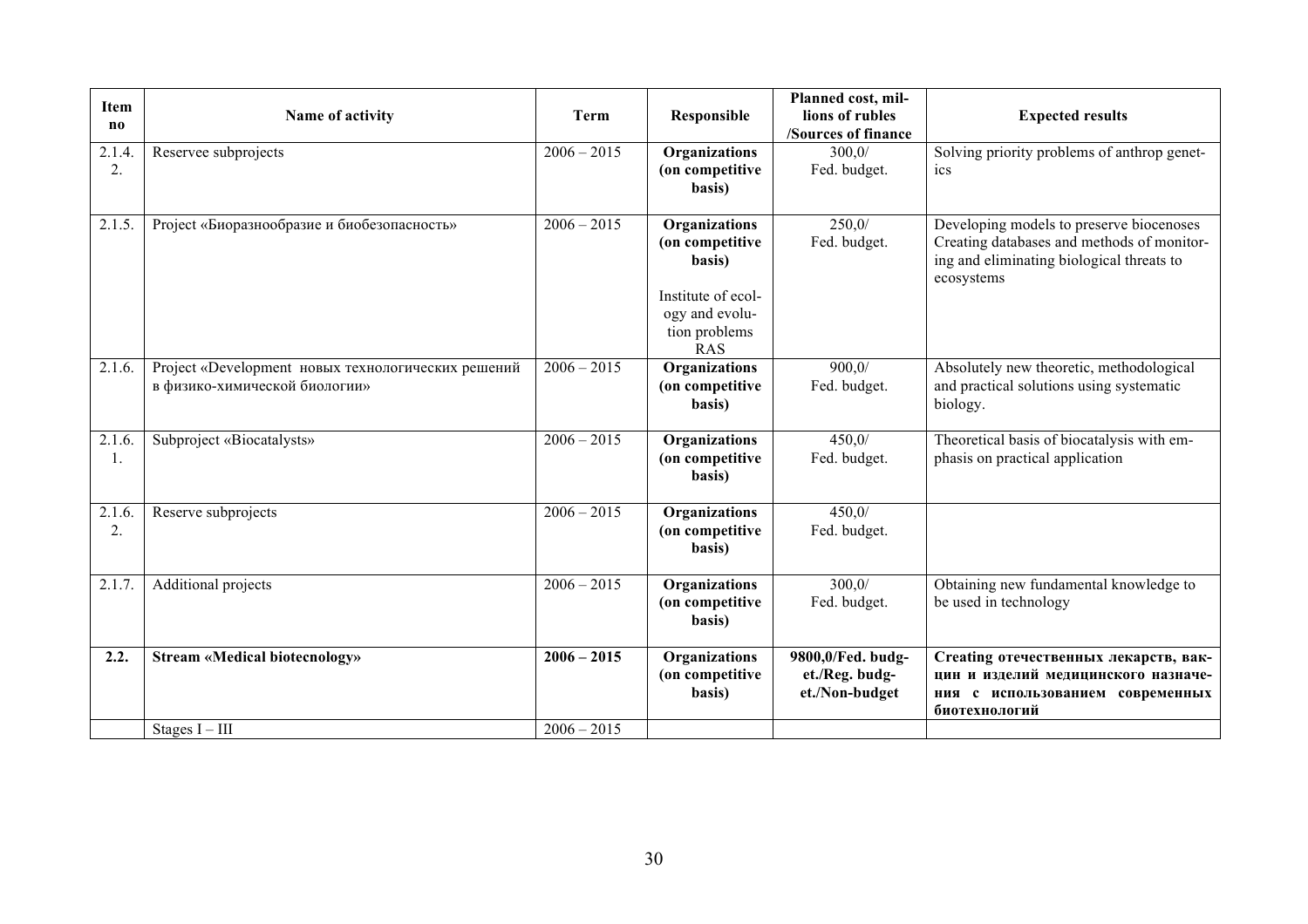| <b>Item</b><br>$\mathbf{n}\mathbf{o}$ | Name of activity                                                                    | Term          | <b>Responsible</b>                                                                                                       | Planned cost, mil-<br>lions of rubles<br>/Sources of finance | <b>Expected results</b>                                                                                                                           |
|---------------------------------------|-------------------------------------------------------------------------------------|---------------|--------------------------------------------------------------------------------------------------------------------------|--------------------------------------------------------------|---------------------------------------------------------------------------------------------------------------------------------------------------|
| 2.1.4.<br>2.                          | Reservee subprojects                                                                | $2006 - 2015$ | Organizations<br>(on competitive<br>basis)                                                                               | 300,0/<br>Fed. budget.                                       | Solving priority problems of anthrop genet-<br>ics                                                                                                |
| 2.1.5.                                | Project «Биоразнообразие и биобезопасность»                                         | $2006 - 2015$ | <b>Organizations</b><br>(on competitive<br>basis)<br>Institute of ecol-<br>ogy and evolu-<br>tion problems<br><b>RAS</b> | 250,0/<br>Fed. budget.                                       | Developing models to preserve biocenoses<br>Creating databases and methods of monitor-<br>ing and eliminating biological threats to<br>ecosystems |
| 2.1.6.                                | Project «Development новых технологических решений<br>в физико-химической биологии» | $2006 - 2015$ | Organizations<br>(on competitive<br>basis)                                                                               | 900.0/<br>Fed. budget.                                       | Absolutely new theoretic, methodological<br>and practical solutions using systematic<br>biology.                                                  |
| 2.1.6<br>1.                           | Subproject «Biocatalysts»                                                           | $2006 - 2015$ | <b>Organizations</b><br>(on competitive<br>basis)                                                                        | 450,0/<br>Fed. budget.                                       | Theoretical basis of biocatalysis with em-<br>phasis on practical application                                                                     |
| 2.1.6<br>2.                           | Reserve subprojects                                                                 | $2006 - 2015$ | <b>Organizations</b><br>(on competitive<br>basis)                                                                        | 450,0/<br>Fed. budget.                                       |                                                                                                                                                   |
| 2.1.7.                                | Additional projects                                                                 | $2006 - 2015$ | Organizations<br>(on competitive<br>basis)                                                                               | 300,0/<br>Fed. budget.                                       | Obtaining new fundamental knowledge to<br>be used in technology                                                                                   |
| 2.2.                                  | <b>Stream «Medical biotecnology»</b>                                                | $2006 - 2015$ | Organizations<br>(on competitive<br>basis)                                                                               | 9800,0/Fed. budg-<br>et./Reg. budg-<br>et./Non-budget        | Creating отечественных лекарств, вак-<br>цин и изделий медицинского назначе-<br>ния с использованием современных<br>биотехнологий                 |
|                                       | Stages $I - III$                                                                    | $2006 - 2015$ |                                                                                                                          |                                                              |                                                                                                                                                   |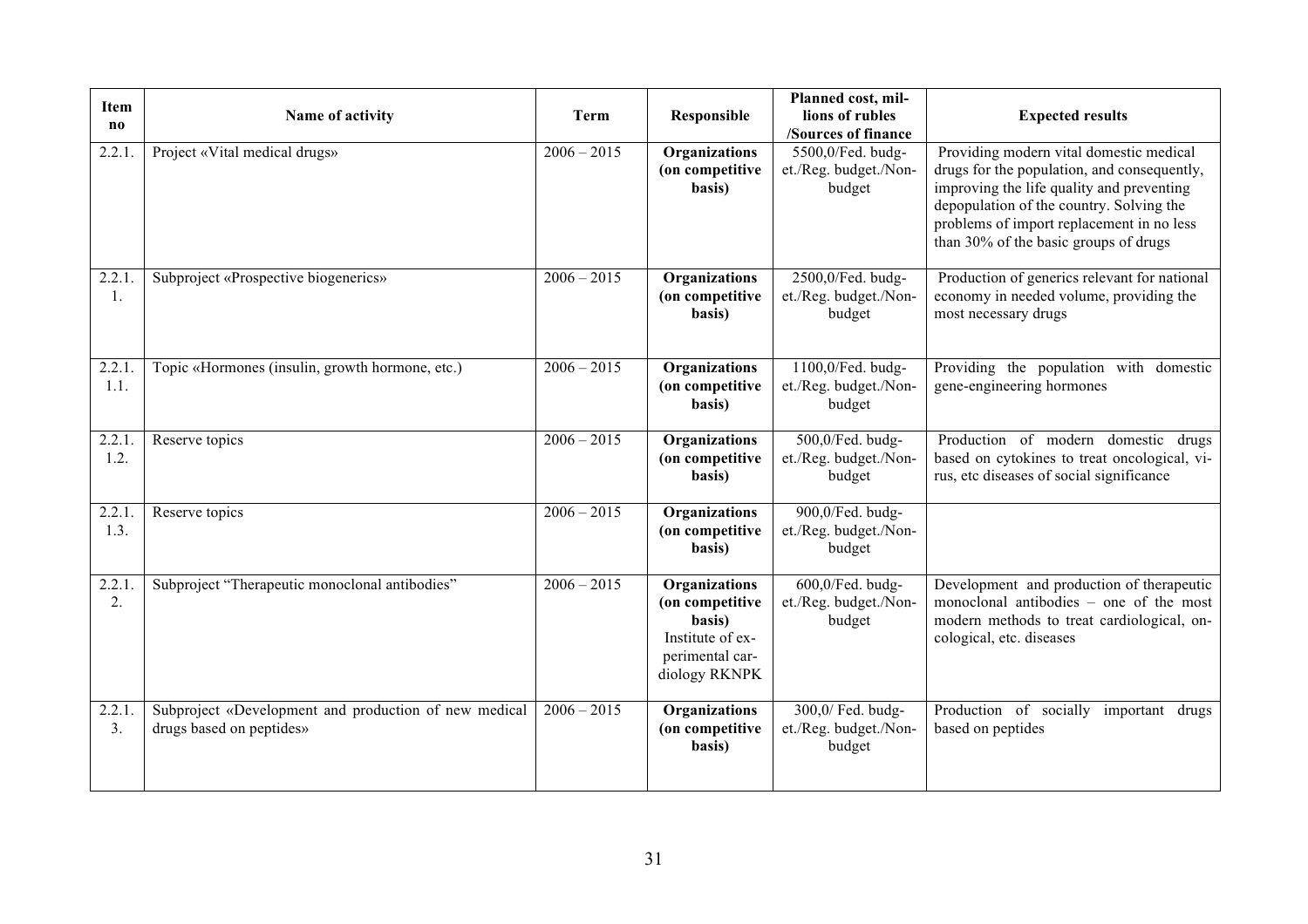| Item<br>no     | Name of activity                                                                  | <b>Term</b>   | Responsible                                                                                        | Planned cost, mil-<br>lions of rubles<br>/Sources of finance | <b>Expected results</b>                                                                                                                                                                                                                                               |
|----------------|-----------------------------------------------------------------------------------|---------------|----------------------------------------------------------------------------------------------------|--------------------------------------------------------------|-----------------------------------------------------------------------------------------------------------------------------------------------------------------------------------------------------------------------------------------------------------------------|
| 2.2.1          | Project «Vital medical drugs»                                                     | $2006 - 2015$ | Organizations<br>(on competitive<br>basis)                                                         | 5500,0/Fed. budg-<br>et./Reg. budget./Non-<br>budget         | Providing modern vital domestic medical<br>drugs for the population, and consequently,<br>improving the life quality and preventing<br>depopulation of the country. Solving the<br>problems of import replacement in no less<br>than 30% of the basic groups of drugs |
| 2.2.1.<br>1.   | Subproject «Prospective biogenerics»                                              | $2006 - 2015$ | Organizations<br>(on competitive<br>basis)                                                         | 2500,0/Fed. budg-<br>et./Reg. budget./Non-<br>budget         | Production of generics relevant for national<br>economy in needed volume, providing the<br>most necessary drugs                                                                                                                                                       |
| 2.2.1.<br>1.1. | Topic «Hormones (insulin, growth hormone, etc.)                                   | $2006 - 2015$ | Organizations<br>(on competitive<br>basis)                                                         | 1100,0/Fed. budg-<br>et./Reg. budget./Non-<br>budget         | Providing the population with domestic<br>gene-engineering hormones                                                                                                                                                                                                   |
| 2.2.1.<br>1.2. | Reserve topics                                                                    | $2006 - 2015$ | Organizations<br>(on competitive<br>basis)                                                         | 500,0/Fed. budg-<br>et./Reg. budget./Non-<br>budget          | Production of modern domestic drugs<br>based on cytokines to treat oncological, vi-<br>rus, etc diseases of social significance                                                                                                                                       |
| 2.2.1<br>1.3.  | Reserve topics                                                                    | $2006 - 2015$ | Organizations<br>(on competitive<br>basis)                                                         | 900,0/Fed. budg-<br>et./Reg. budget./Non-<br>budget          |                                                                                                                                                                                                                                                                       |
| 2.2.1<br>2.    | Subproject "Therapeutic monoclonal antibodies"                                    | $2006 - 2015$ | Organizations<br>(on competitive<br>basis)<br>Institute of ex-<br>perimental car-<br>diology RKNPK | 600,0/Fed. budg-<br>et./Reg. budget./Non-<br>budget          | Development and production of therapeutic<br>monoclonal antibodies - one of the most<br>modern methods to treat cardiological, on-<br>cological, etc. diseases                                                                                                        |
| 2.2.1<br>3.    | Subproject «Development and production of new medical<br>drugs based on peptides» | $2006 - 2015$ | <b>Organizations</b><br>(on competitive<br>basis)                                                  | 300,0/ Fed. budg-<br>et./Reg. budget./Non-<br>budget         | Production of socially important drugs<br>based on peptides                                                                                                                                                                                                           |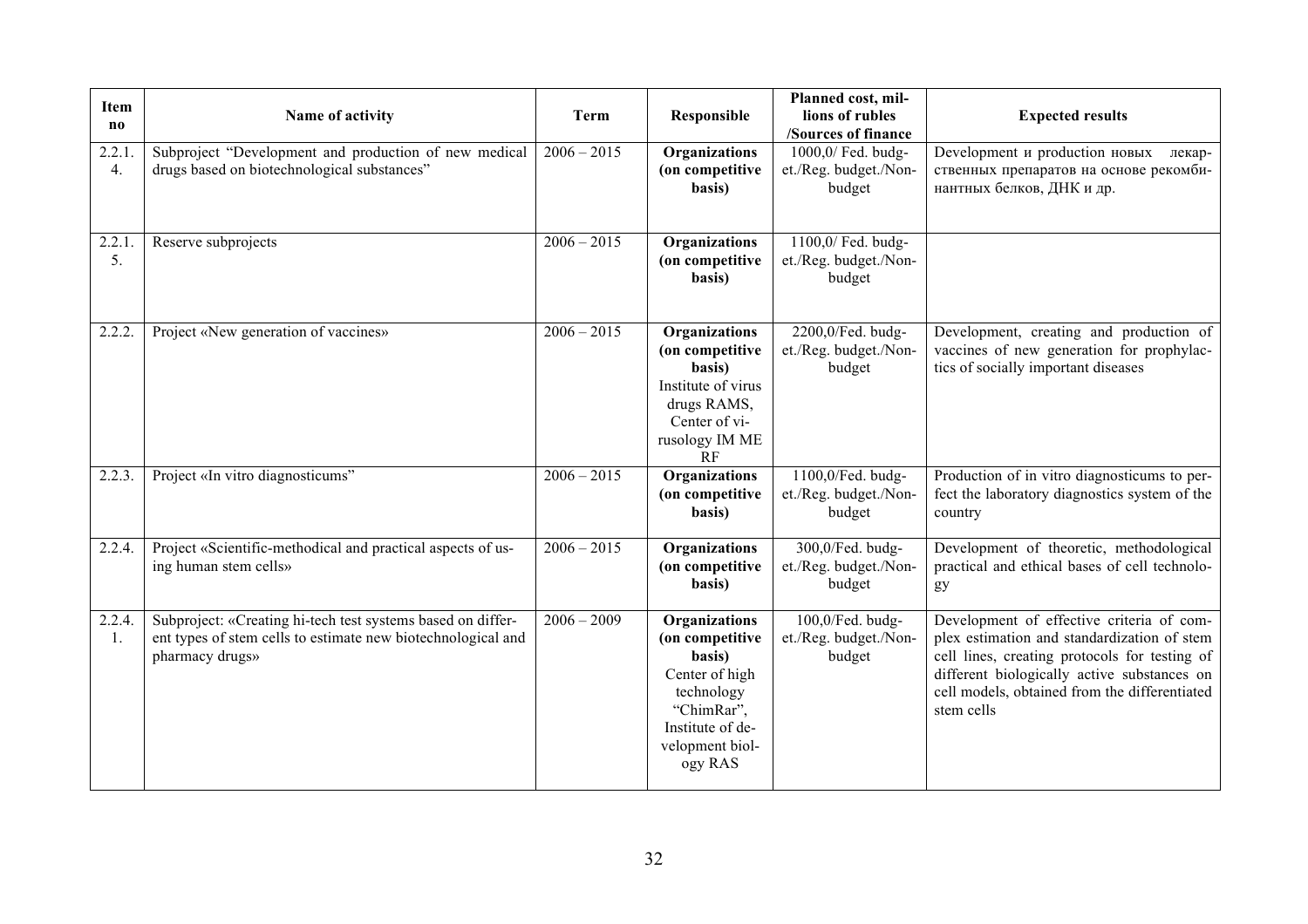| <b>Item</b><br>no         | Name of activity                                                                                                                               | <b>Term</b>   | Responsible                                                                                                                                | Planned cost, mil-<br>lions of rubles<br>/Sources of finance       | <b>Expected results</b>                                                                                                                                                                                                                                 |
|---------------------------|------------------------------------------------------------------------------------------------------------------------------------------------|---------------|--------------------------------------------------------------------------------------------------------------------------------------------|--------------------------------------------------------------------|---------------------------------------------------------------------------------------------------------------------------------------------------------------------------------------------------------------------------------------------------------|
| 2.2.1<br>$\overline{4}$ . | Subproject "Development and production of new medical<br>drugs based on biotechnological substances"                                           | $2006 - 2015$ | Organizations<br>(on competitive<br>basis)                                                                                                 | 1000,0/ Fed. budg-<br>et./Reg. budget./Non-<br>budget              | Development и production новых<br>лекар-<br>ственных препаратов на основе рекомби-<br>нантных белков, ДНК и др.                                                                                                                                         |
| 2.2.1<br>5.               | Reserve subprojects                                                                                                                            | $2006 - 2015$ | Organizations<br>(on competitive<br>basis)                                                                                                 | $\overline{1100, 0}$ Fed. budg-<br>et./Reg. budget./Non-<br>budget |                                                                                                                                                                                                                                                         |
| 2.2.2.                    | Project «New generation of vaccines»                                                                                                           | $2006 - 2015$ | Organizations<br>(on competitive<br>basis)<br>Institute of virus<br>drugs RAMS,<br>Center of vi-<br>rusology IM ME<br>RF                   | 2200,0/Fed. budg-<br>et./Reg. budget./Non-<br>budget               | Development, creating and production of<br>vaccines of new generation for prophylac-<br>tics of socially important diseases                                                                                                                             |
| 2.2.3.                    | Project «In vitro diagnosticums"                                                                                                               | $2006 - 2015$ | Organizations<br>(on competitive<br>basis)                                                                                                 | 1100,0/Fed. budg-<br>et./Reg. budget./Non-<br>budget               | Production of in vitro diagnosticums to per-<br>fect the laboratory diagnostics system of the<br>country                                                                                                                                                |
| 2.2.4.                    | Project «Scientific-methodical and practical aspects of us-<br>ing human stem cells»                                                           | $2006 - 2015$ | Organizations<br>(on competitive<br>basis)                                                                                                 | 300,0/Fed. budg-<br>et./Reg. budget./Non-<br>budget                | Development of theoretic, methodological<br>practical and ethical bases of cell technolo-<br>gy                                                                                                                                                         |
| 2.2.4.<br>1.              | Subproject: «Creating hi-tech test systems based on differ-<br>ent types of stem cells to estimate new biotechnological and<br>pharmacy drugs» | $2006 - 2009$ | Organizations<br>(on competitive<br>basis)<br>Center of high<br>technology<br>"ChimRar",<br>Institute of de-<br>velopment biol-<br>ogy RAS | 100,0/Fed. budg-<br>et./Reg. budget./Non-<br>budget                | Development of effective criteria of com-<br>plex estimation and standardization of stem<br>cell lines, creating protocols for testing of<br>different biologically active substances on<br>cell models, obtained from the differentiated<br>stem cells |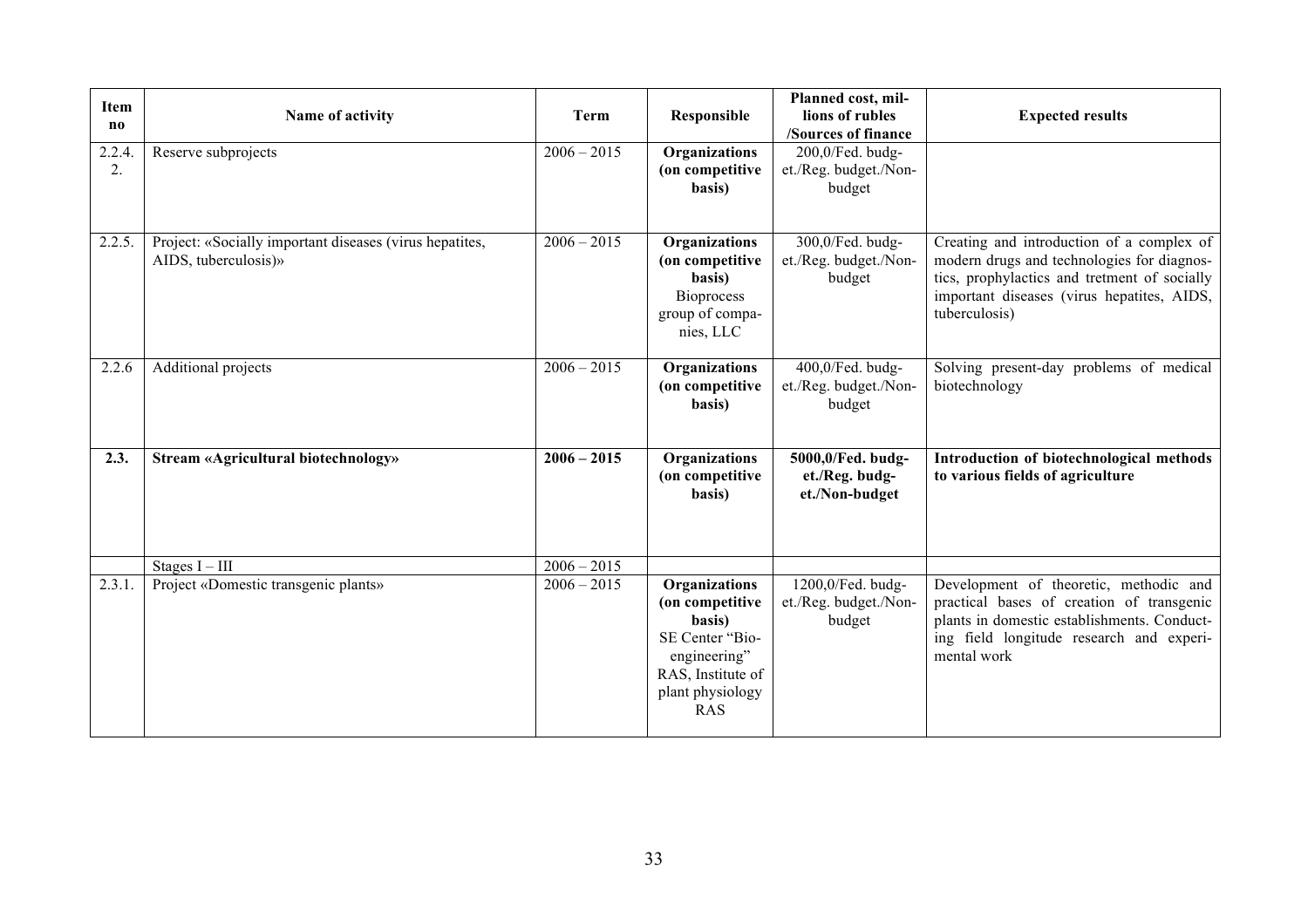| <b>Item</b><br>no | Name of activity                                                                | <b>Term</b>   | Responsible                                                                                                                          | Planned cost, mil-<br>lions of rubles<br>/Sources of finance | <b>Expected results</b>                                                                                                                                                                                |
|-------------------|---------------------------------------------------------------------------------|---------------|--------------------------------------------------------------------------------------------------------------------------------------|--------------------------------------------------------------|--------------------------------------------------------------------------------------------------------------------------------------------------------------------------------------------------------|
| 2.2.4<br>2.       | Reserve subprojects                                                             | $2006 - 2015$ | Organizations<br>(on competitive<br>basis)                                                                                           | 200,0/Fed. budg-<br>et./Reg. budget./Non-<br>budget          |                                                                                                                                                                                                        |
| 2.2.5.            | Project: «Socially important diseases (virus hepatites,<br>AIDS, tuberculosis)» | $2006 - 2015$ | Organizations<br>(on competitive<br>basis)<br><b>Bioprocess</b><br>group of compa-<br>nies, LLC                                      | 300,0/Fed. budg-<br>et./Reg. budget./Non-<br>budget          | Creating and introduction of a complex of<br>modern drugs and technologies for diagnos-<br>tics, prophylactics and tretment of socially<br>important diseases (virus hepatites, AIDS,<br>tuberculosis) |
| 2.2.6             | Additional projects                                                             | $2006 - 2015$ | Organizations<br>(on competitive<br>basis)                                                                                           | 400,0/Fed. budg-<br>et./Reg. budget./Non-<br>budget          | Solving present-day problems of medical<br>biotechnology                                                                                                                                               |
| 2.3.              | <b>Stream «Agricultural biotechnology»</b>                                      | $2006 - 2015$ | Organizations<br>(on competitive<br>basis)                                                                                           | 5000,0/Fed. budg-<br>et./Reg. budg-<br>et./Non-budget        | Introduction of biotechnological methods<br>to various fields of agriculture                                                                                                                           |
|                   | Stages $I - III$                                                                | $2006 - 2015$ |                                                                                                                                      |                                                              |                                                                                                                                                                                                        |
| 2.3.1.            | Project «Domestic transgenic plants»                                            | $2006 - 2015$ | Organizations<br>(on competitive<br>basis)<br>SE Center "Bio-<br>engineering"<br>RAS, Institute of<br>plant physiology<br><b>RAS</b> | 1200,0/Fed. budg-<br>et./Reg. budget./Non-<br>budget         | Development of theoretic, methodic and<br>practical bases of creation of transgenic<br>plants in domestic establishments. Conduct-<br>ing field longitude research and experi-<br>mental work          |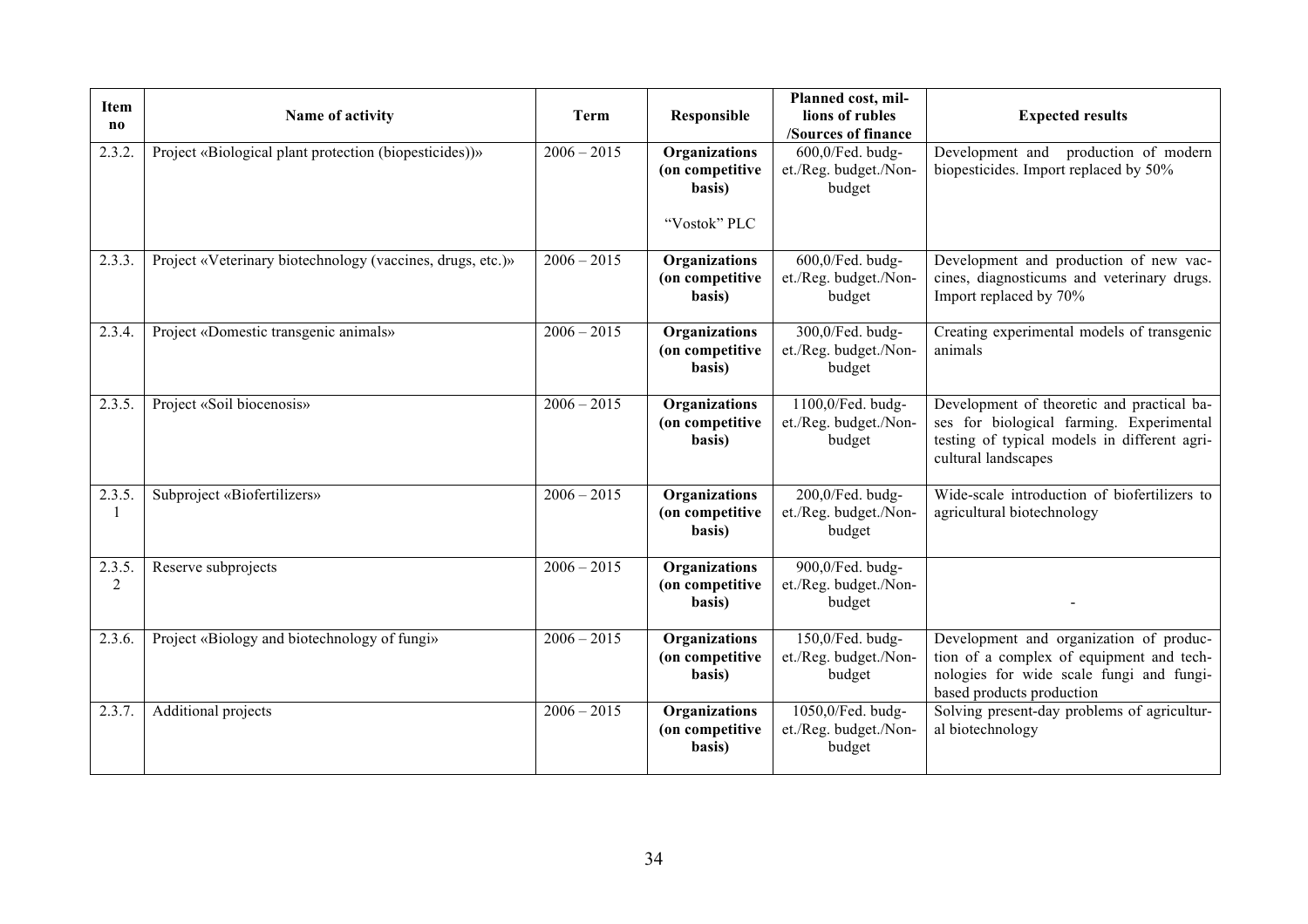| Item<br>no  | Name of activity                                           | Term          | Responsible                                | Planned cost, mil-<br>lions of rubles<br>/Sources of finance | <b>Expected results</b>                                                                                                                                       |
|-------------|------------------------------------------------------------|---------------|--------------------------------------------|--------------------------------------------------------------|---------------------------------------------------------------------------------------------------------------------------------------------------------------|
| 2.3.2.      | Project «Biological plant protection (biopesticides))»     | $2006 - 2015$ | Organizations<br>(on competitive<br>basis) | 600,0/Fed. budg-<br>et./Reg. budget./Non-<br>budget          | Development and production of modern<br>biopesticides. Import replaced by 50%                                                                                 |
|             |                                                            |               | "Vostok" PLC                               |                                                              |                                                                                                                                                               |
| 2.3.3.      | Project «Veterinary biotechnology (vaccines, drugs, etc.)» | $2006 - 2015$ | Organizations<br>(on competitive<br>basis) | 600,0/Fed. budg-<br>et./Reg. budget./Non-<br>budget          | Development and production of new vac-<br>cines, diagnosticums and veterinary drugs.<br>Import replaced by 70%                                                |
| 2.3.4.      | Project «Domestic transgenic animals»                      | $2006 - 2015$ | Organizations<br>(on competitive<br>basis) | 300,0/Fed. budg-<br>et./Reg. budget./Non-<br>budget          | Creating experimental models of transgenic<br>animals                                                                                                         |
| 2.3.5.      | Project «Soil biocenosis»                                  | $2006 - 2015$ | Organizations<br>(on competitive<br>basis) | 1100,0/Fed. budg-<br>et./Reg. budget./Non-<br>budget         | Development of theoretic and practical ba-<br>ses for biological farming. Experimental<br>testing of typical models in different agri-<br>cultural landscapes |
| 2.3.5.      | Subproject «Biofertilizers»                                | $2006 - 2015$ | Organizations<br>(on competitive<br>basis) | $200,0$ /Fed. budg-<br>et./Reg. budget./Non-<br>budget       | Wide-scale introduction of biofertilizers to<br>agricultural biotechnology                                                                                    |
| 2.3.5.<br>2 | Reserve subprojects                                        | $2006 - 2015$ | Organizations<br>(on competitive<br>basis) | 900,0/Fed. budg-<br>et./Reg. budget./Non-<br>budget          |                                                                                                                                                               |
| 2.3.6.      | Project «Biology and biotechnology of fungi»               | $2006 - 2015$ | Organizations<br>(on competitive<br>basis) | 150,0/Fed. budg-<br>et./Reg. budget./Non-<br>budget          | Development and organization of produc-<br>tion of a complex of equipment and tech-<br>nologies for wide scale fungi and fungi-<br>based products production  |
| 2.3.7.      | Additional projects                                        | $2006 - 2015$ | Organizations<br>(on competitive<br>basis) | 1050,0/Fed. budg-<br>et./Reg. budget./Non-<br>budget         | Solving present-day problems of agricultur-<br>al biotechnology                                                                                               |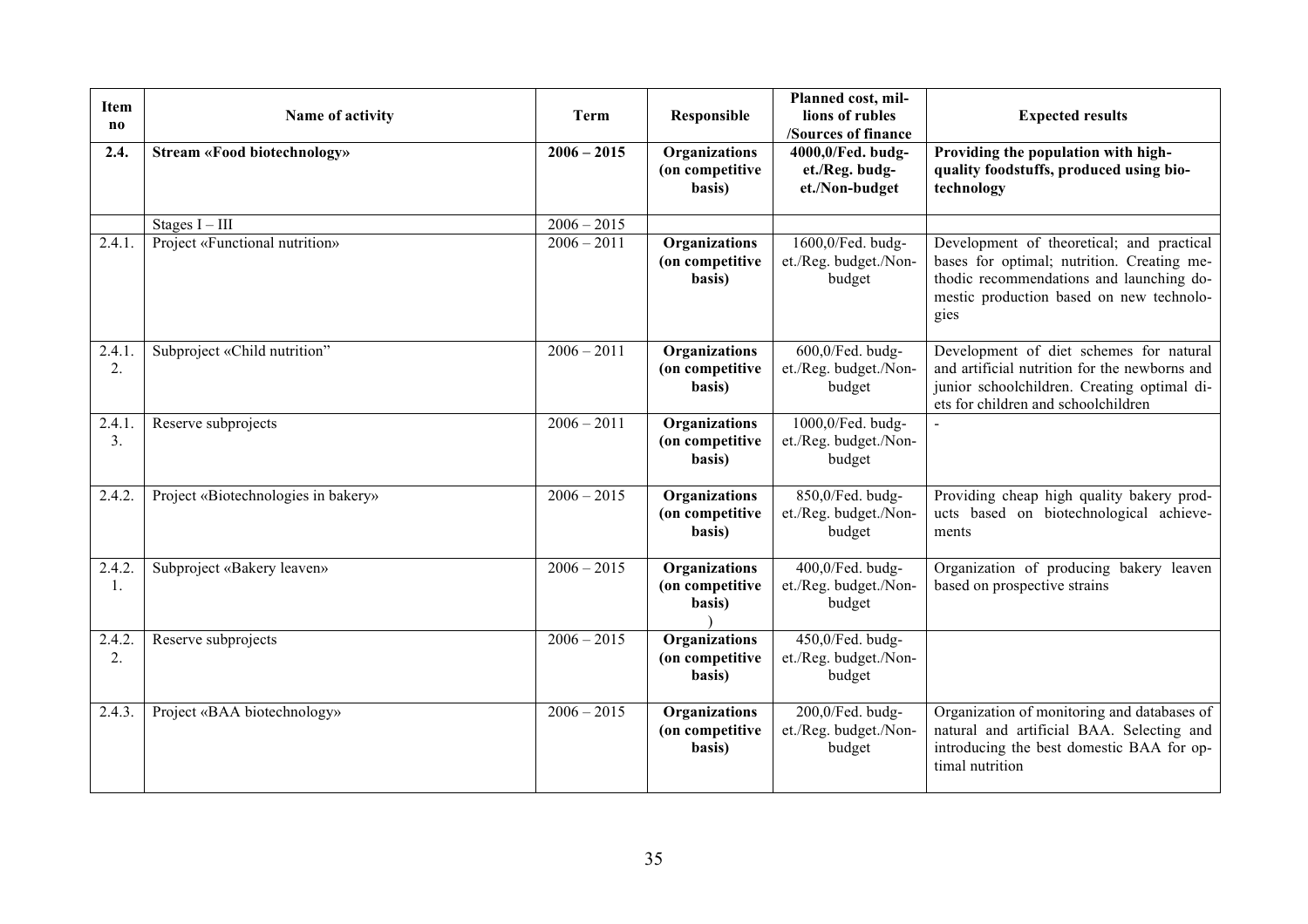| Item<br>$\bf{no}$ | Name of activity                                   | <b>Term</b>                               | Responsible                                       | Planned cost, mil-<br>lions of rubles<br>/Sources of finance | <b>Expected results</b>                                                                                                                                                                 |
|-------------------|----------------------------------------------------|-------------------------------------------|---------------------------------------------------|--------------------------------------------------------------|-----------------------------------------------------------------------------------------------------------------------------------------------------------------------------------------|
| 2.4.              | <b>Stream «Food biotechnology»</b>                 | $2006 - 2015$                             | Organizations<br>(on competitive<br>basis)        | 4000,0/Fed. budg-<br>et./Reg. budg-<br>et./Non-budget        | Providing the population with high-<br>quality foodstuffs, produced using bio-<br>technology                                                                                            |
| 2.4.1             | Stages $I - III$<br>Project «Functional nutrition» | $\overline{2006} - 2015$<br>$2006 - 2011$ | Organizations<br>(on competitive<br>basis)        | 1600,0/Fed. budg-<br>et./Reg. budget./Non-<br>budget         | Development of theoretical; and practical<br>bases for optimal; nutrition. Creating me-<br>thodic recommendations and launching do-<br>mestic production based on new technolo-<br>gies |
| 2.4.1<br>2.       | Subproject «Child nutrition"                       | $2006 - 2011$                             | Organizations<br>(on competitive<br>basis)        | 600,0/Fed. budg-<br>et./Reg. budget./Non-<br>budget          | Development of diet schemes for natural<br>and artificial nutrition for the newborns and<br>junior schoolchildren. Creating optimal di-<br>ets for children and schoolchildren          |
| 2.4.1<br>3.       | Reserve subprojects                                | $2006 - 2011$                             | Organizations<br>(on competitive<br>basis)        | 1000,0/Fed. budg-<br>et./Reg. budget./Non-<br>budget         |                                                                                                                                                                                         |
| 2.4.2.            | Project «Biotechnologies in bakery»                | $2006 - 2015$                             | <b>Organizations</b><br>(on competitive<br>basis) | 850,0/Fed. budg-<br>et./Reg. budget./Non-<br>budget          | Providing cheap high quality bakery prod-<br>ucts based on biotechnological achieve-<br>ments                                                                                           |
| 2.4.2.<br>1.      | Subproject «Bakery leaven»                         | $2006 - 2015$                             | Organizations<br>(on competitive<br>basis)        | 400,0/Fed. budg-<br>et./Reg. budget./Non-<br>budget          | Organization of producing bakery leaven<br>based on prospective strains                                                                                                                 |
| 2.4.2<br>2.       | Reserve subprojects                                | $2006 - 2015$                             | Organizations<br>(on competitive<br>basis)        | 450,0/Fed. budg-<br>et./Reg. budget./Non-<br>budget          |                                                                                                                                                                                         |
| 2.4.3.            | Project «BAA biotechnology»                        | $2006 - 2015$                             | Organizations<br>(on competitive<br>basis)        | 200,0/Fed. budg-<br>et./Reg. budget./Non-<br>budget          | Organization of monitoring and databases of<br>natural and artificial BAA. Selecting and<br>introducing the best domestic BAA for op-<br>timal nutrition                                |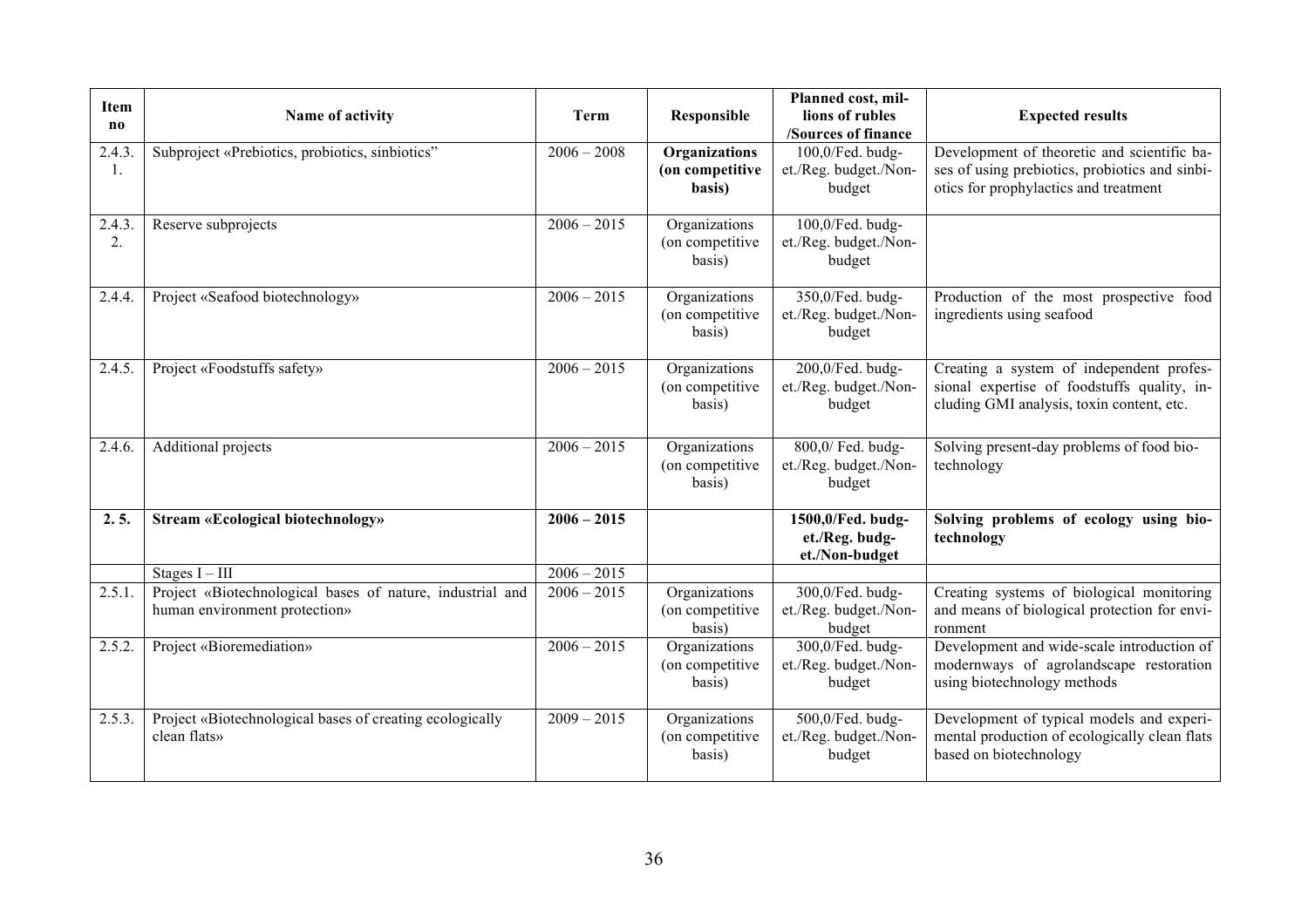| Item<br>$\bf{no}$ | Name of activity                                                                           | <b>Term</b>              | Responsible                                 | Planned cost, mil-<br>lions of rubles<br>/Sources of finance | <b>Expected results</b>                                                                                                                |
|-------------------|--------------------------------------------------------------------------------------------|--------------------------|---------------------------------------------|--------------------------------------------------------------|----------------------------------------------------------------------------------------------------------------------------------------|
| 2.4.3.<br>1.      | Subproject «Prebiotics, probiotics, sinbiotics"                                            | $2006 - 2008$            | Organizations<br>(on competitive<br>basis)  | 100,0/Fed. budg-<br>et./Reg. budget./Non-<br>budget          | Development of theoretic and scientific ba-<br>ses of using prebiotics, probiotics and sinbi-<br>otics for prophylactics and treatment |
| 2.4.3.<br>2.      | Reserve subprojects                                                                        | $2006 - 2015$            | Organizations<br>(on competitive)<br>basis) | 100,0/Fed. budg-<br>et./Reg. budget./Non-<br>budget          |                                                                                                                                        |
| 2.4.4.            | Project «Seafood biotechnology»                                                            | $2006 - 2015$            | Organizations<br>(on competitive<br>basis)  | 350,0/Fed. budg-<br>et./Reg. budget./Non-<br>budget          | Production of the most prospective food<br>ingredients using seafood                                                                   |
| 2.4.5.            | Project «Foodstuffs safety»                                                                | $2006 - 2015$            | Organizations<br>(on competitive<br>basis)  | 200,0/Fed. budg-<br>et./Reg. budget./Non-<br>budget          | Creating a system of independent profes-<br>sional expertise of foodstuffs quality, in-<br>cluding GMI analysis, toxin content, etc.   |
| 2.4.6.            | <b>Additional projects</b>                                                                 | $2006 - 2015$            | Organizations<br>(on competitive<br>basis)  | 800,0/ Fed. budg-<br>et./Reg. budget./Non-<br>budget         | Solving present-day problems of food bio-<br>technology                                                                                |
| 2.5.              | <b>Stream «Ecological biotechnology»</b>                                                   | $2006 - 2015$            |                                             | 1500,0/Fed. budg-<br>et./Reg. budg-<br>et./Non-budget        | Solving problems of ecology using bio-<br>technology                                                                                   |
|                   | Stages $I - III$                                                                           | $\overline{2006} - 2015$ |                                             |                                                              |                                                                                                                                        |
| 2.5.1.            | Project «Biotechnological bases of nature, industrial and<br>human environment protection» | $2006 - 2015$            | Organizations<br>(on competitive<br>basis)  | 300,0/Fed. budg-<br>et./Reg. budget./Non-<br>budget          | Creating systems of biological monitoring<br>and means of biological protection for envi-<br>ronment                                   |
| 2.5.2.            | Project «Bioremediation»                                                                   | $2006 - 2015$            | Organizations<br>(on competitive<br>basis)  | 300,0/Fed. budg-<br>et./Reg. budget./Non-<br>budget          | Development and wide-scale introduction of<br>modernways of agrolandscape restoration<br>using biotechnology methods                   |
| 2.5.3.            | Project «Biotechnological bases of creating ecologically<br>clean flats»                   | $2009 - 2015$            | Organizations<br>(on competitive<br>basis)  | 500,0/Fed. budg-<br>et./Reg. budget./Non-<br>budget          | Development of typical models and experi-<br>mental production of ecologically clean flats<br>based on biotechnology                   |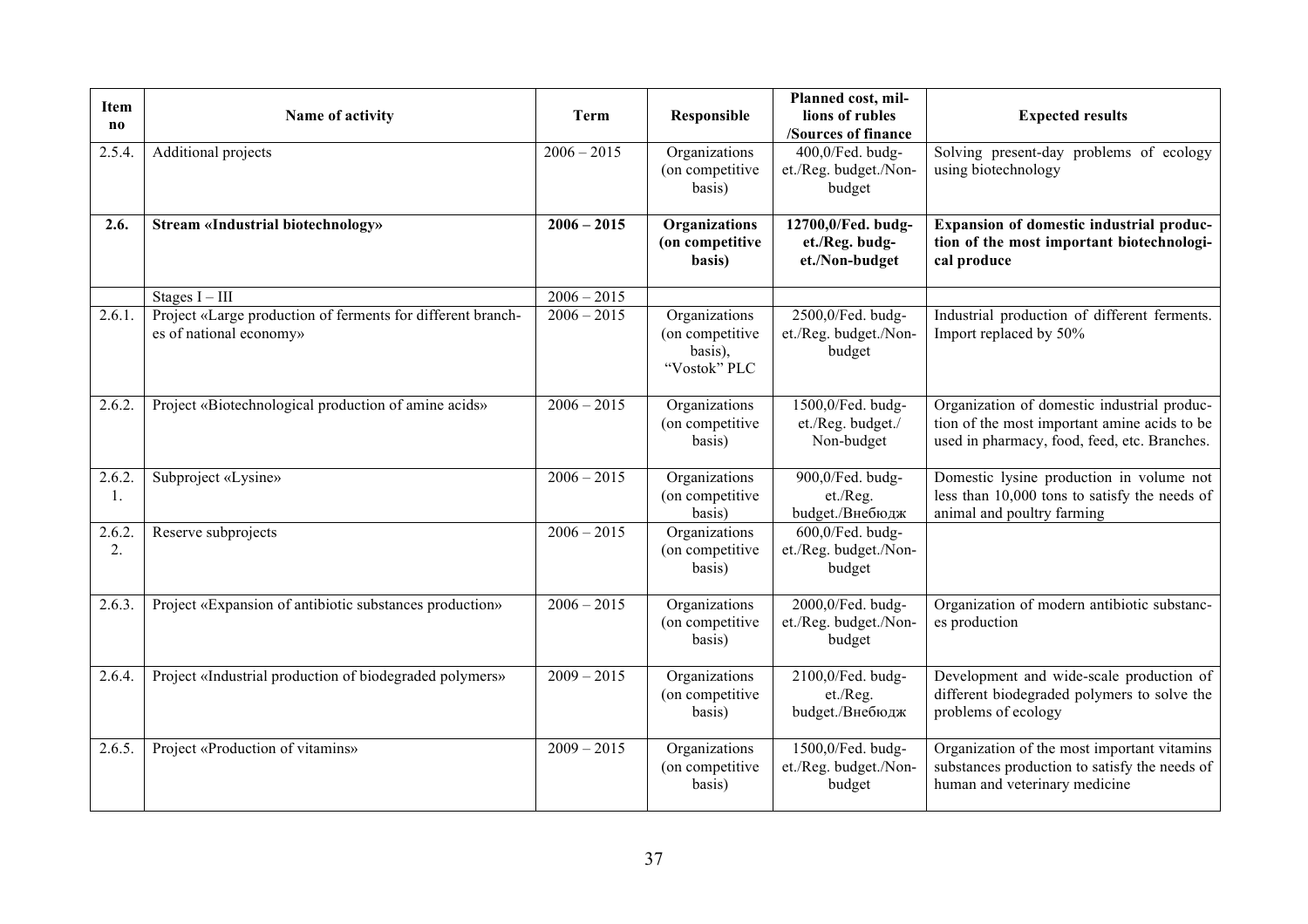| Item<br>$\mathbf{n}$ | Name of activity                                                                       | <b>Term</b>   | Responsible                                                 | Planned cost, mil-<br>lions of rubles<br>/Sources of finance | <b>Expected results</b>                                                                                                                     |
|----------------------|----------------------------------------------------------------------------------------|---------------|-------------------------------------------------------------|--------------------------------------------------------------|---------------------------------------------------------------------------------------------------------------------------------------------|
| 2.5.4                | Additional projects                                                                    | $2006 - 2015$ | Organizations<br>(on competitive)<br>basis)                 | 400,0/Fed. budg-<br>et./Reg. budget./Non-<br>budget          | Solving present-day problems of ecology<br>using biotechnology                                                                              |
| 2.6.                 | <b>Stream «Industrial biotechnology»</b>                                               | $2006 - 2015$ | Organizations<br>(on competitive<br>basis)                  | 12700,0/Fed. budg-<br>et./Reg. budg-<br>et./Non-budget       | Expansion of domestic industrial produc-<br>tion of the most important biotechnologi-<br>cal produce                                        |
|                      | Stages $I - III$                                                                       | $2006 - 2015$ |                                                             |                                                              |                                                                                                                                             |
| 2.6.1.               | Project «Large production of ferments for different branch-<br>es of national economy» | $2006 - 2015$ | Organizations<br>(on competitive<br>basis),<br>"Vostok" PLC | 2500,0/Fed. budg-<br>et./Reg. budget./Non-<br>budget         | Industrial production of different ferments.<br>Import replaced by 50%                                                                      |
| 2.6.2.               | Project «Biotechnological production of amine acids»                                   | $2006 - 2015$ | Organizations<br>(on competitive<br>basis)                  | 1500,0/Fed. budg-<br>et./Reg. budget./<br>Non-budget         | Organization of domestic industrial produc-<br>tion of the most important amine acids to be<br>used in pharmacy, food, feed, etc. Branches. |
| 2.6.2.<br>-1.        | Subproject «Lysine»                                                                    | $2006 - 2015$ | Organizations<br>(on competitive<br>basis)                  | 900,0/Fed. budg-<br>et./Reg.<br>budget./Внебюдж              | Domestic lysine production in volume not<br>less than 10,000 tons to satisfy the needs of<br>animal and poultry farming                     |
| 2.6.2.<br>2.         | Reserve subprojects                                                                    | $2006 - 2015$ | Organizations<br>(on competitive<br>basis)                  | 600,0/Fed. budg-<br>et./Reg. budget./Non-<br>budget          |                                                                                                                                             |
| 2.6.3.               | Project «Expansion of antibiotic substances production»                                | $2006 - 2015$ | Organizations<br>(on competitive<br>basis)                  | 2000,0/Fed. budg-<br>et./Reg. budget./Non-<br>budget         | Organization of modern antibiotic substanc-<br>es production                                                                                |
| 2.6.4.               | Project «Industrial production of biodegraded polymers»                                | $2009 - 2015$ | Organizations<br>(on competitive<br>basis)                  | 2100,0/Fed. budg-<br>et./Reg.<br>budget./Внебюдж             | Development and wide-scale production of<br>different biodegraded polymers to solve the<br>problems of ecology                              |
| 2.6.5.               | Project «Production of vitamins»                                                       | $2009 - 2015$ | Organizations<br>(on competitive<br>basis)                  | 1500,0/Fed. budg-<br>et./Reg. budget./Non-<br>budget         | Organization of the most important vitamins<br>substances production to satisfy the needs of<br>human and veterinary medicine               |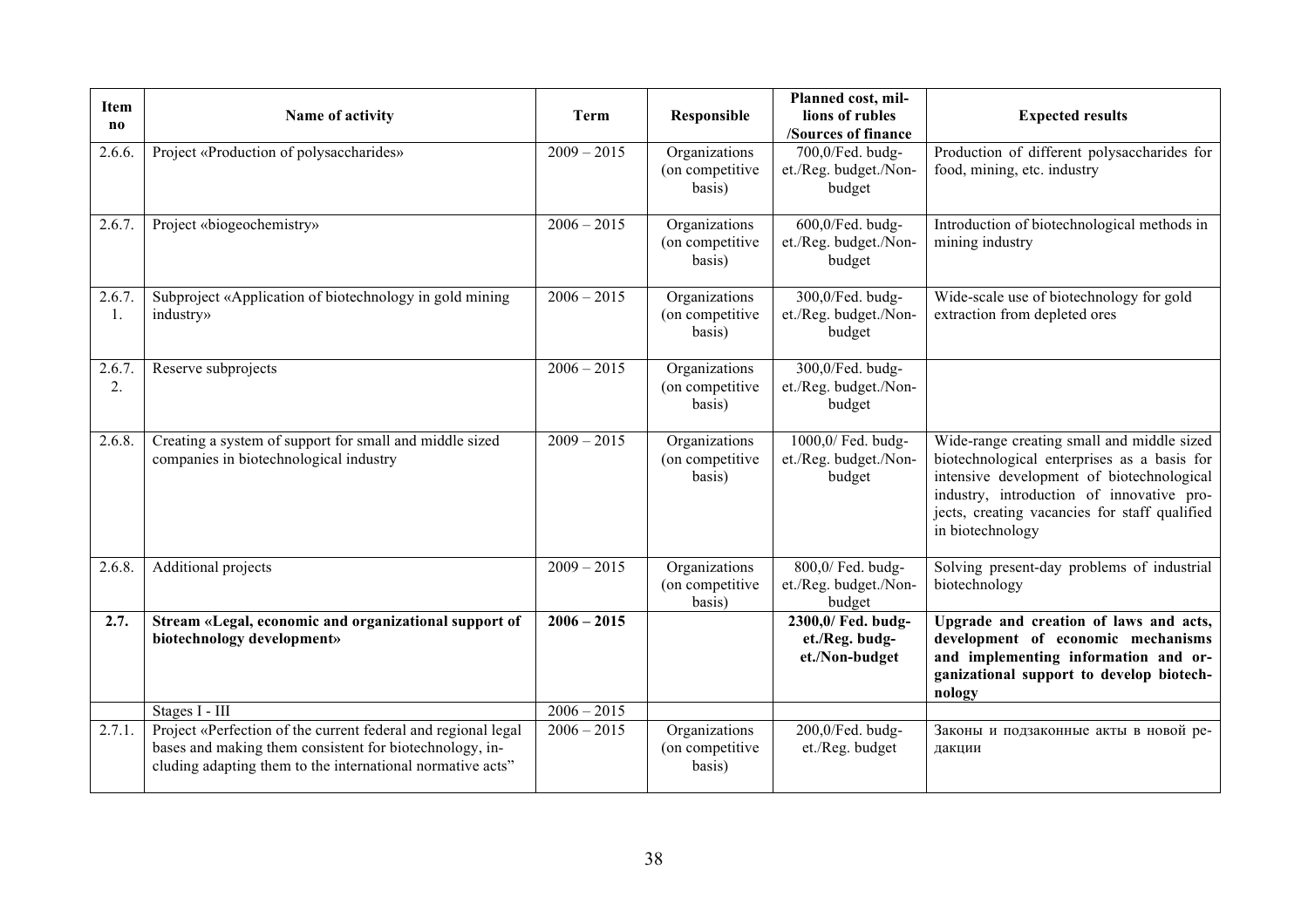| Item<br>$\bf{no}$ | Name of activity                                                                                                                                                                       | <b>Term</b>   | Responsible                                 | Planned cost, mil-<br>lions of rubles<br>/Sources of finance | <b>Expected results</b>                                                                                                                                                                                                                                  |
|-------------------|----------------------------------------------------------------------------------------------------------------------------------------------------------------------------------------|---------------|---------------------------------------------|--------------------------------------------------------------|----------------------------------------------------------------------------------------------------------------------------------------------------------------------------------------------------------------------------------------------------------|
| 2.6.6.            | Project «Production of polysaccharides»                                                                                                                                                | $2009 - 2015$ | Organizations<br>(on competitive)<br>basis) | 700,0/Fed. budg-<br>et./Reg. budget./Non-<br>budget          | Production of different polysaccharides for<br>food, mining, etc. industry                                                                                                                                                                               |
| 2.6.7.            | Project «biogeochemistry»                                                                                                                                                              | $2006 - 2015$ | Organizations<br>(on competitive)<br>basis) | 600,0/Fed. budg-<br>et./Reg. budget./Non-<br>budget          | Introduction of biotechnological methods in<br>mining industry                                                                                                                                                                                           |
| 2.6.7.<br>-1.     | Subproject «Application of biotechnology in gold mining<br>industry»                                                                                                                   | $2006 - 2015$ | Organizations<br>(on competitive<br>basis)  | 300,0/Fed. budg-<br>et./Reg. budget./Non-<br>budget          | Wide-scale use of biotechnology for gold<br>extraction from depleted ores                                                                                                                                                                                |
| 2.6.7.<br>2.      | Reserve subprojects                                                                                                                                                                    | $2006 - 2015$ | Organizations<br>(on competitive<br>basis)  | 300,0/Fed. budg-<br>et./Reg. budget./Non-<br>budget          |                                                                                                                                                                                                                                                          |
| 2.6.8.            | Creating a system of support for small and middle sized<br>companies in biotechnological industry                                                                                      | $2009 - 2015$ | Organizations<br>(on competitive<br>basis)  | 1000,0/ Fed. budg-<br>et./Reg. budget./Non-<br>budget        | Wide-range creating small and middle sized<br>biotechnological enterprises as a basis for<br>intensive development of biotechnological<br>industry, introduction of innovative pro-<br>jects, creating vacancies for staff qualified<br>in biotechnology |
| 2.6.8.            | Additional projects                                                                                                                                                                    | $2009 - 2015$ | Organizations<br>(on competitive)<br>basis) | 800,0/ Fed. budg-<br>et./Reg. budget./Non-<br>budget         | Solving present-day problems of industrial<br>biotechnology                                                                                                                                                                                              |
| 2.7.              | Stream «Legal, economic and organizational support of<br>biotechnology development»                                                                                                    | $2006 - 2015$ |                                             | 2300,0/ Fed. budg-<br>et./Reg. budg-<br>et./Non-budget       | Upgrade and creation of laws and acts,<br>development of economic mechanisms<br>and implementing information and or-<br>ganizational support to develop biotech-<br>nology                                                                               |
|                   | Stages I - III                                                                                                                                                                         | $2006 - 2015$ |                                             |                                                              |                                                                                                                                                                                                                                                          |
| 2.7.1.            | Project «Perfection of the current federal and regional legal<br>bases and making them consistent for biotechnology, in-<br>cluding adapting them to the international normative acts" | $2006 - 2015$ | Organizations<br>(on competitive)<br>basis) | 200,0/Fed. budg-<br>et./Reg. budget                          | Законы и подзаконные акты в новой ре-<br>дакции                                                                                                                                                                                                          |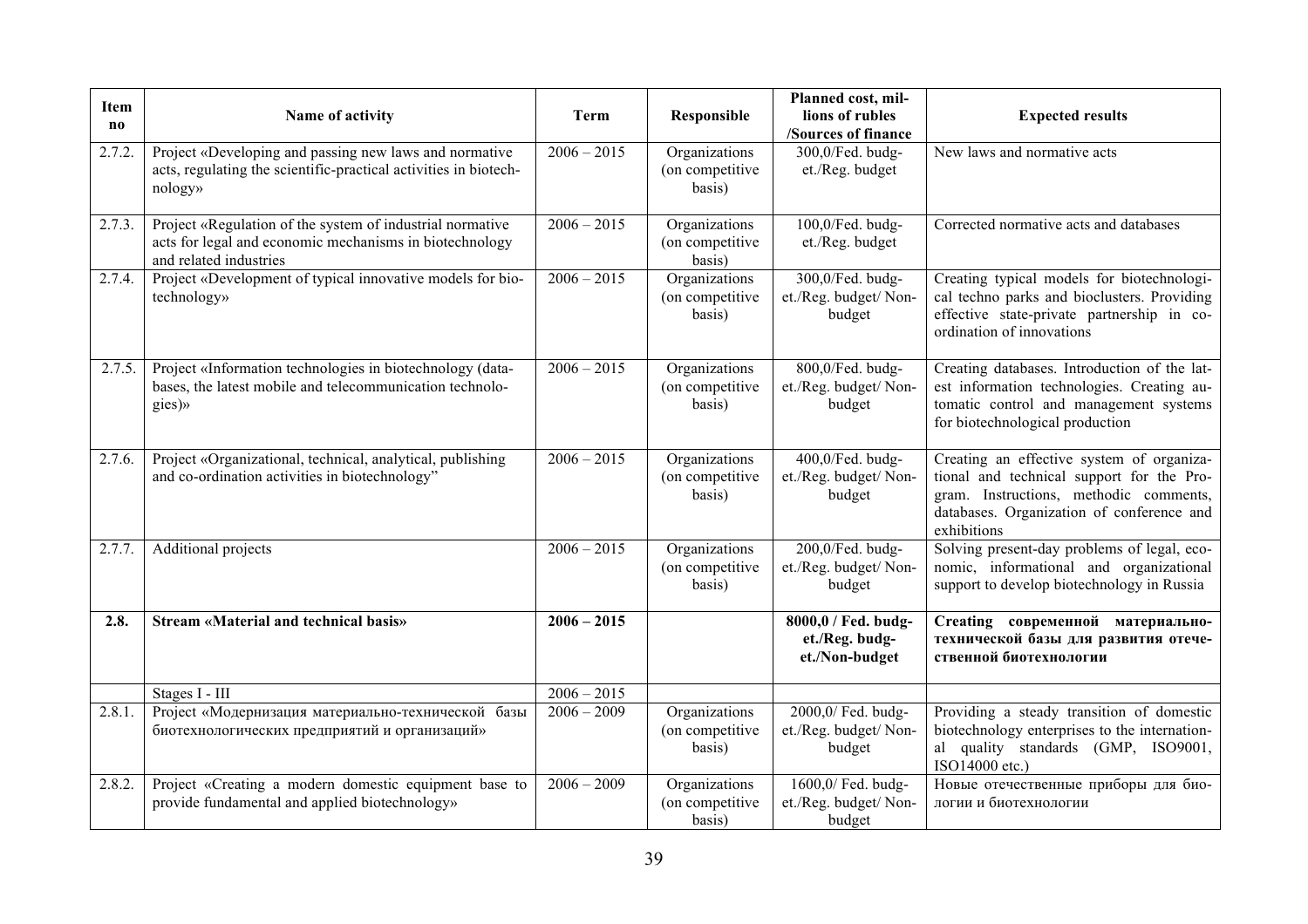| Item                   | Name of activity                                                                                                                               | Term                    | Responsible                                 | Planned cost, mil-<br>lions of rubles                   | <b>Expected results</b>                                                                                                                                                                      |  |  |
|------------------------|------------------------------------------------------------------------------------------------------------------------------------------------|-------------------------|---------------------------------------------|---------------------------------------------------------|----------------------------------------------------------------------------------------------------------------------------------------------------------------------------------------------|--|--|
| $\mathbf{n}\mathbf{o}$ |                                                                                                                                                |                         |                                             | <b>/Sources of finance</b>                              |                                                                                                                                                                                              |  |  |
| 2.7.2.                 | Project «Developing and passing new laws and normative<br>acts, regulating the scientific-practical activities in biotech-<br>nology»          | $2006 - 2015$           | Organizations<br>(on competitive<br>basis)  | 300,0/Fed. budg-<br>et./Reg. budget                     | New laws and normative acts                                                                                                                                                                  |  |  |
| 2.7.3.                 | Project «Regulation of the system of industrial normative<br>acts for legal and economic mechanisms in biotechnology<br>and related industries | $2006 - 2015$           | Organizations<br>(on competitive)<br>basis) | 100,0/Fed. budg-<br>et./Reg. budget                     | Corrected normative acts and databases                                                                                                                                                       |  |  |
| 2.7.4.                 | Project «Development of typical innovative models for bio-<br>technology»                                                                      | $2006 - 2015$           | Organizations<br>(on competitive)<br>basis) | 300,0/Fed. budg-<br>et./Reg. budget/ Non-<br>budget     | Creating typical models for biotechnologi-<br>cal techno parks and bioclusters. Providing<br>effective state-private partnership in co-<br>ordination of innovations                         |  |  |
| 2.7.5.                 | Project «Information technologies in biotechnology (data-<br>bases, the latest mobile and telecommunication technolo-<br>gies)»                | $2006 - 2015$           | Organizations<br>(on competitive<br>basis)  | 800,0/Fed. budg-<br>et./Reg. budget/ Non-<br>budget     | Creating databases. Introduction of the lat-<br>est information technologies. Creating au-<br>tomatic control and management systems<br>for biotechnological production                      |  |  |
| 2.7.6.                 | Project «Organizational, technical, analytical, publishing<br>and co-ordination activities in biotechnology"                                   | $2006 - 2015$           | Organizations<br>(on competitive<br>basis)  | 400,0/Fed. budg-<br>et./Reg. budget/ Non-<br>budget     | Creating an effective system of organiza-<br>tional and technical support for the Pro-<br>gram. Instructions, methodic comments,<br>databases. Organization of conference and<br>exhibitions |  |  |
| 2.7.7.                 | Additional projects                                                                                                                            | $2006 - 2015$           | Organizations<br>(on competitive<br>basis)  | 200,0/Fed. budg-<br>et./Reg. budget/ Non-<br>budget     | Solving present-day problems of legal, eco-<br>nomic, informational and organizational<br>support to develop biotechnology in Russia                                                         |  |  |
| 2.8.                   | <b>Stream «Material and technical basis»</b>                                                                                                   | $2006 - 2015$           |                                             | 8000,0 / Fed. budg-<br>et./Reg. budg-<br>et./Non-budget | Creating современной материально-<br>технической базы для развития отече-<br>ственной биотехнологии                                                                                          |  |  |
|                        | Stages I - III                                                                                                                                 | $2006 - 2015$           |                                             |                                                         |                                                                                                                                                                                              |  |  |
| 2.8.1.                 | Project «Модернизация материально-технической базы<br>биотехнологических предприятий и организаций»                                            | $\frac{1}{2006} - 2009$ | Organizations<br>(on competitive<br>basis)  | 2000,0/ Fed. budg-<br>et./Reg. budget/ Non-<br>budget   | Providing a steady transition of domestic<br>biotechnology enterprises to the internation-<br>al quality standards (GMP, ISO9001,<br>ISO14000 etc.)                                          |  |  |
| 2.8.2.                 | Project «Creating a modern domestic equipment base to<br>provide fundamental and applied biotechnology»                                        | $2006 - 2009$           | Organizations<br>(on competitive)<br>basis) | 1600,0/ Fed. budg-<br>et./Reg. budget/ Non-<br>budget   | Новые отечественные приборы для био-<br>логии и биотехнологии                                                                                                                                |  |  |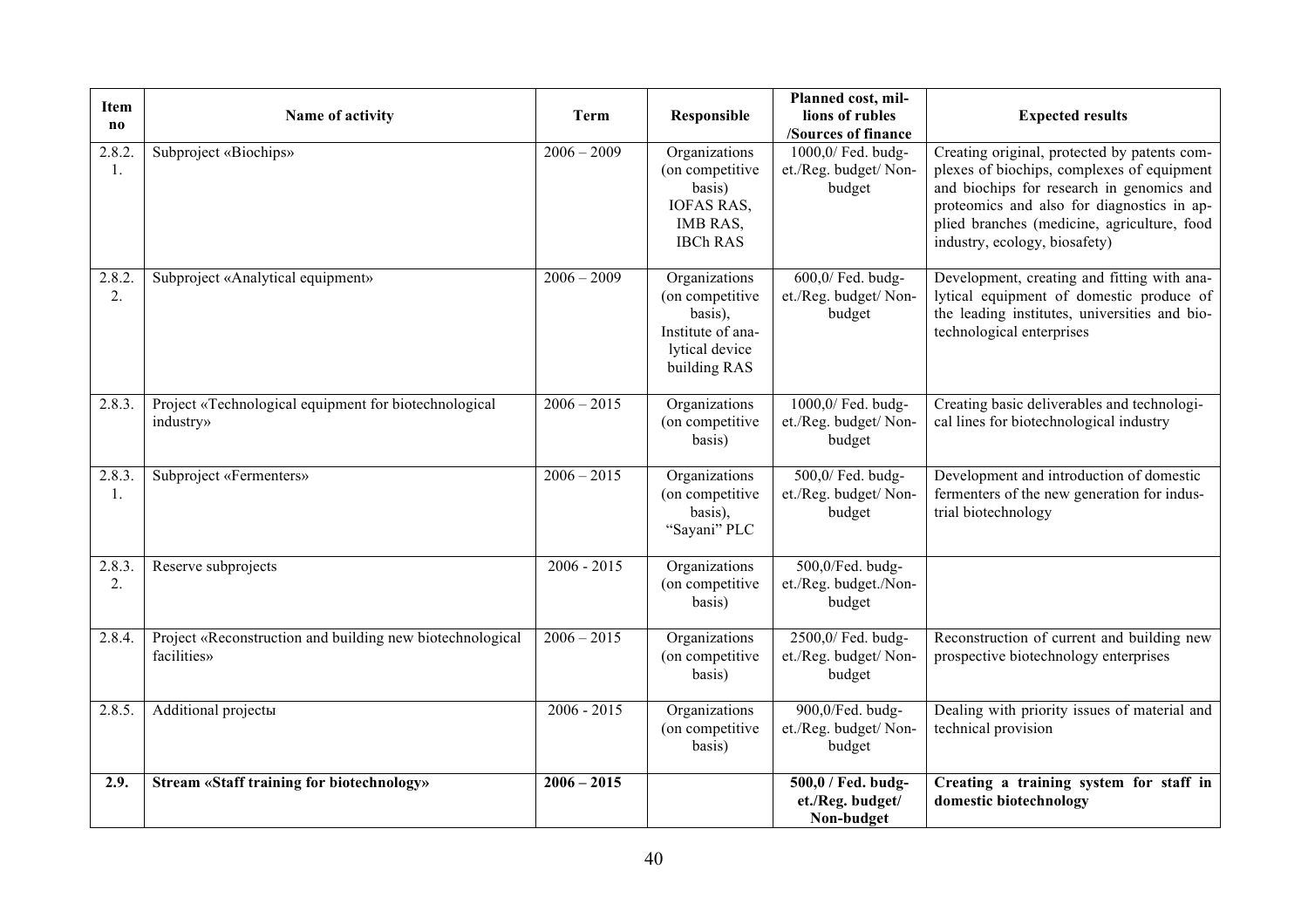| <b>Item</b><br>$\bf{no}$ | Name of activity                                                         | <b>Term</b>   | Responsible                                                                                        | Planned cost, mil-<br>lions of rubles<br>/Sources of finance | <b>Expected results</b>                                                                                                                                                                                                                                               |
|--------------------------|--------------------------------------------------------------------------|---------------|----------------------------------------------------------------------------------------------------|--------------------------------------------------------------|-----------------------------------------------------------------------------------------------------------------------------------------------------------------------------------------------------------------------------------------------------------------------|
| 2.8.2.<br>-1.            | Subproject «Biochips»                                                    | $2006 - 2009$ | Organizations<br>(on competitive)<br>basis)<br><b>IOFAS RAS,</b><br>IMB RAS,<br><b>IBCh RAS</b>    | 1000,0/ Fed. budg-<br>et./Reg. budget/ Non-<br>budget        | Creating original, protected by patents com-<br>plexes of biochips, complexes of equipment<br>and biochips for research in genomics and<br>proteomics and also for diagnostics in ap-<br>plied branches (medicine, agriculture, food<br>industry, ecology, biosafety) |
| 2.8.2.<br>2.             | Subproject «Analytical equipment»                                        | $2006 - 2009$ | Organizations<br>(on competitive<br>basis),<br>Institute of ana-<br>lytical device<br>building RAS | 600,0/ Fed. budg-<br>et./Reg. budget/ Non-<br>budget         | Development, creating and fitting with ana-<br>lytical equipment of domestic produce of<br>the leading institutes, universities and bio-<br>technological enterprises                                                                                                 |
| 2.8.3.                   | Project «Technological equipment for biotechnological<br>industry»       | $2006 - 2015$ | Organizations<br>(on competitive<br>basis)                                                         | 1000,0/ Fed. budg-<br>et./Reg. budget/ Non-<br>budget        | Creating basic deliverables and technologi-<br>cal lines for biotechnological industry                                                                                                                                                                                |
| 2.8.3.<br>-1.            | Subproject «Fermenters»                                                  | $2006 - 2015$ | Organizations<br>(on competitive<br>basis),<br>"Sayani" PLC                                        | 500,0/ Fed. budg-<br>et./Reg. budget/ Non-<br>budget         | Development and introduction of domestic<br>fermenters of the new generation for indus-<br>trial biotechnology                                                                                                                                                        |
| 2.8.3.<br>2.             | Reserve subprojects                                                      | $2006 - 2015$ | Organizations<br>(on competitive<br>basis)                                                         | 500,0/Fed. budg-<br>et./Reg. budget./Non-<br>budget          |                                                                                                                                                                                                                                                                       |
| 2.8.4.                   | Project «Reconstruction and building new biotechnological<br>facilities» | $2006 - 2015$ | Organizations<br>(on competitive<br>basis)                                                         | 2500,0/ Fed. budg-<br>et./Reg. budget/ Non-<br>budget        | Reconstruction of current and building new<br>prospective biotechnology enterprises                                                                                                                                                                                   |
| 2.8.5.                   | <b>Additional projectы</b>                                               | $2006 - 2015$ | Organizations<br>(on competitive<br>basis)                                                         | 900,0/Fed. budg-<br>et./Reg. budget/ Non-<br>budget          | Dealing with priority issues of material and<br>technical provision                                                                                                                                                                                                   |
| 2.9.                     | <b>Stream «Staff training for biotechnology»</b>                         | $2006 - 2015$ |                                                                                                    | 500,0 / Fed. budg-<br>et./Reg. budget/<br>Non-budget         | Creating a training system for staff in<br>domestic biotechnology                                                                                                                                                                                                     |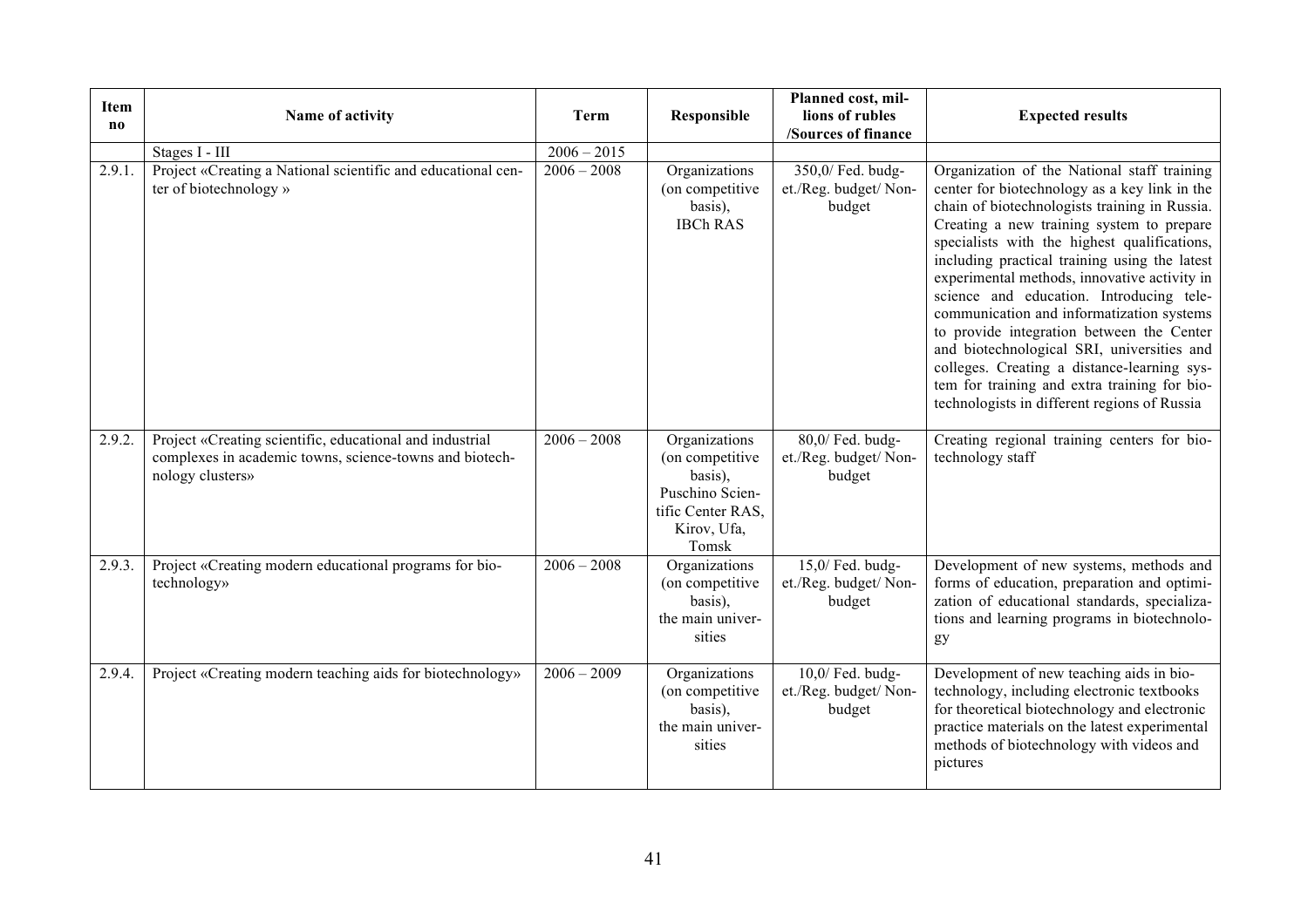| <b>Item</b><br>no | Name of activity                                                                                                                        | <b>Term</b>   | Responsible                                                                                                  | Planned cost, mil-<br>lions of rubles<br>/Sources of finance | <b>Expected results</b>                                                                                                                                                                                                                                                                                                                                                                                                                                                                                                                                                                                                                                                        |  |
|-------------------|-----------------------------------------------------------------------------------------------------------------------------------------|---------------|--------------------------------------------------------------------------------------------------------------|--------------------------------------------------------------|--------------------------------------------------------------------------------------------------------------------------------------------------------------------------------------------------------------------------------------------------------------------------------------------------------------------------------------------------------------------------------------------------------------------------------------------------------------------------------------------------------------------------------------------------------------------------------------------------------------------------------------------------------------------------------|--|
|                   | Stages I - III                                                                                                                          | $2006 - 2015$ |                                                                                                              |                                                              |                                                                                                                                                                                                                                                                                                                                                                                                                                                                                                                                                                                                                                                                                |  |
| 2.9.1.            | Project «Creating a National scientific and educational cen-<br>ter of biotechnology »                                                  | $2006 - 2008$ | Organizations<br>(on competitive<br>basis),<br><b>IBCh RAS</b>                                               | 350,0/ Fed. budg-<br>et./Reg. budget/ Non-<br>budget         | Organization of the National staff training<br>center for biotechnology as a key link in the<br>chain of biotechnologists training in Russia.<br>Creating a new training system to prepare<br>specialists with the highest qualifications,<br>including practical training using the latest<br>experimental methods, innovative activity in<br>science and education. Introducing tele-<br>communication and informatization systems<br>to provide integration between the Center<br>and biotechnological SRI, universities and<br>colleges. Creating a distance-learning sys-<br>tem for training and extra training for bio-<br>technologists in different regions of Russia |  |
| 2.9.2.            | Project «Creating scientific, educational and industrial<br>complexes in academic towns, science-towns and biotech-<br>nology clusters» | $2006 - 2008$ | Organizations<br>(on competitive)<br>basis),<br>Puschino Scien-<br>tific Center RAS,<br>Kirov, Ufa,<br>Tomsk | 80,0/ Fed. budg-<br>et./Reg. budget/ Non-<br>budget          | Creating regional training centers for bio-<br>technology staff                                                                                                                                                                                                                                                                                                                                                                                                                                                                                                                                                                                                                |  |
| 2.9.3.            | Project «Creating modern educational programs for bio-<br>technology»                                                                   | $2006 - 2008$ | Organizations<br>(on competitive<br>basis),<br>the main univer-<br>sities                                    | $15,0$ / Fed. budg-<br>et./Reg. budget/ Non-<br>budget       | Development of new systems, methods and<br>forms of education, preparation and optimi-<br>zation of educational standards, specializa-<br>tions and learning programs in biotechnolo-<br>gy                                                                                                                                                                                                                                                                                                                                                                                                                                                                                    |  |
| 2.9.4.            | Project «Creating modern teaching aids for biotechnology»                                                                               | $2006 - 2009$ | Organizations<br>(on competitive<br>basis),<br>the main univer-<br>sities                                    | $10,0$ / Fed. budg-<br>et./Reg. budget/ Non-<br>budget       | Development of new teaching aids in bio-<br>technology, including electronic textbooks<br>for theoretical biotechnology and electronic<br>practice materials on the latest experimental<br>methods of biotechnology with videos and<br>pictures                                                                                                                                                                                                                                                                                                                                                                                                                                |  |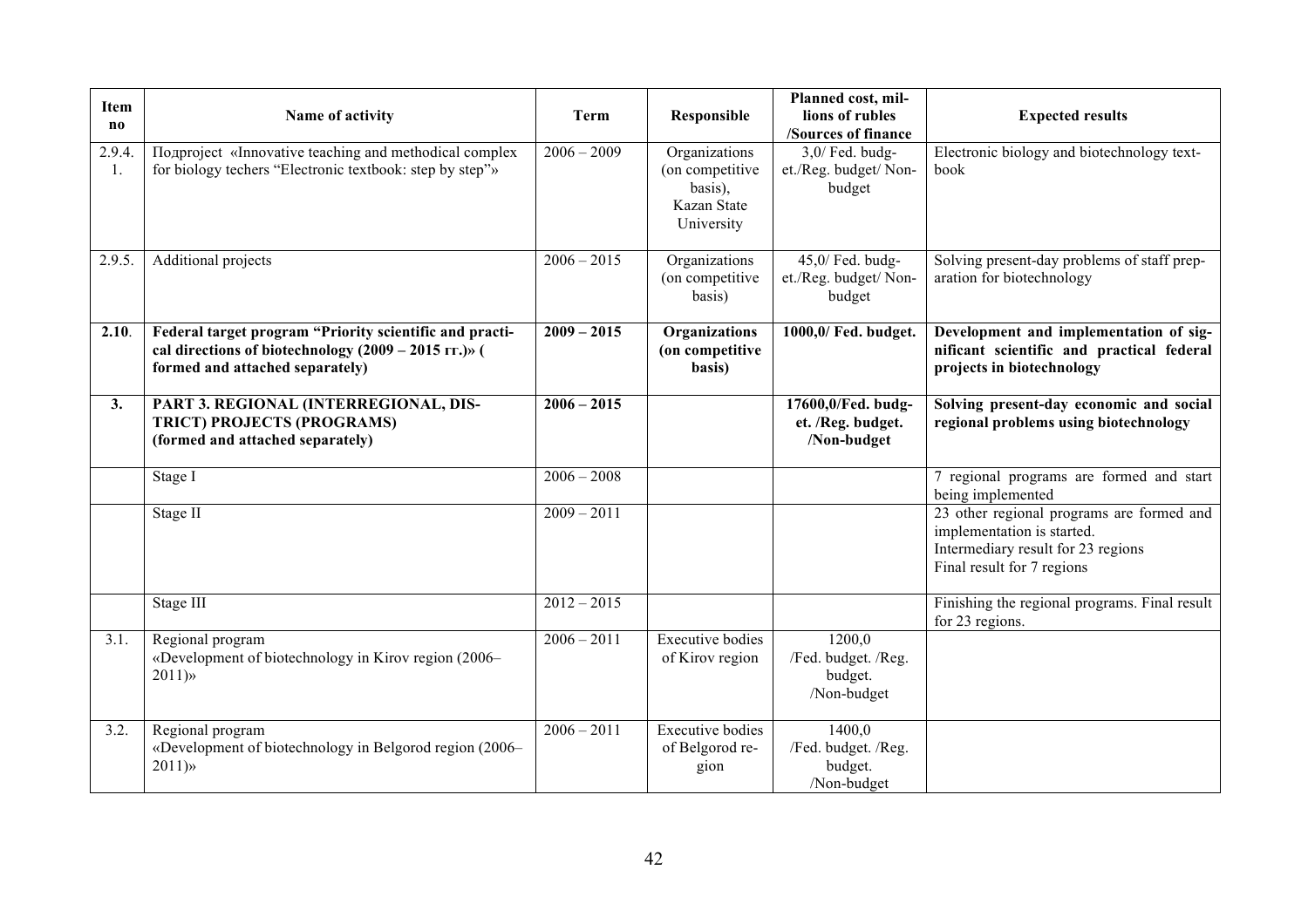| <b>Item</b><br>$\bf{no}$ | Name of activity                                                                                                                                     | <b>Term</b>   | Responsible                                                              | Planned cost, mil-<br>lions of rubles<br>/Sources of finance | <b>Expected results</b>                                                                                                                     |
|--------------------------|------------------------------------------------------------------------------------------------------------------------------------------------------|---------------|--------------------------------------------------------------------------|--------------------------------------------------------------|---------------------------------------------------------------------------------------------------------------------------------------------|
| 2.9.4.<br>1.             | Подргојесt «Innovative teaching and methodical complex<br>for biology techers "Electronic textbook: step by step"»                                   | $2006 - 2009$ | Organizations<br>(on competitive<br>basis),<br>Kazan State<br>University | $3,0/$ Fed. budg-<br>et./Reg. budget/ Non-<br>budget         | Electronic biology and biotechnology text-<br>book                                                                                          |
| 2.9.5.                   | Additional projects                                                                                                                                  | $2006 - 2015$ | Organizations<br>(on competitive)<br>basis)                              | 45,0/ Fed. budg-<br>et./Reg. budget/ Non-<br>budget          | Solving present-day problems of staff prep-<br>aration for biotechnology                                                                    |
| 2.10.                    | Federal target program "Priority scientific and practi-<br>cal directions of biotechnology $(2009 - 2015$ rr.)» (<br>formed and attached separately) | $2009 - 2015$ | Organizations<br>(on competitive<br>basis)                               | 1000,0/ Fed. budget.                                         | Development and implementation of sig-<br>nificant scientific and practical federal<br>projects in biotechnology                            |
| 3.                       | PART 3. REGIONAL (INTERREGIONAL, DIS-<br>TRICT) PROJECTS (PROGRAMS)<br>(formed and attached separately)                                              | $2006 - 2015$ |                                                                          | 17600,0/Fed. budg-<br>et. /Reg. budget.<br>/Non-budget       | Solving present-day economic and social<br>regional problems using biotechnology                                                            |
|                          | Stage I                                                                                                                                              | $2006 - 2008$ |                                                                          |                                                              | 7 regional programs are formed and start<br>being implemented                                                                               |
|                          | Stage II                                                                                                                                             | $2009 - 2011$ |                                                                          |                                                              | 23 other regional programs are formed and<br>implementation is started.<br>Intermediary result for 23 regions<br>Final result for 7 regions |
|                          | Stage III                                                                                                                                            | $2012 - 2015$ |                                                                          |                                                              | Finishing the regional programs. Final result<br>for 23 regions.                                                                            |
| 3.1.                     | Regional program<br>«Development of biotechnology in Kirov region (2006–<br>$2011)$ »                                                                | $2006 - 2011$ | <b>Executive bodies</b><br>of Kirov region                               | 1200,0<br>/Fed. budget. /Reg.<br>budget.<br>/Non-budget      |                                                                                                                                             |
| 3.2.                     | Regional program<br>«Development of biotechnology in Belgorod region (2006–<br>$2011)$ »                                                             | $2006 - 2011$ | <b>Executive bodies</b><br>of Belgorod re-<br>gion                       | 1400,0<br>/Fed. budget. /Reg.<br>budget.<br>/Non-budget      |                                                                                                                                             |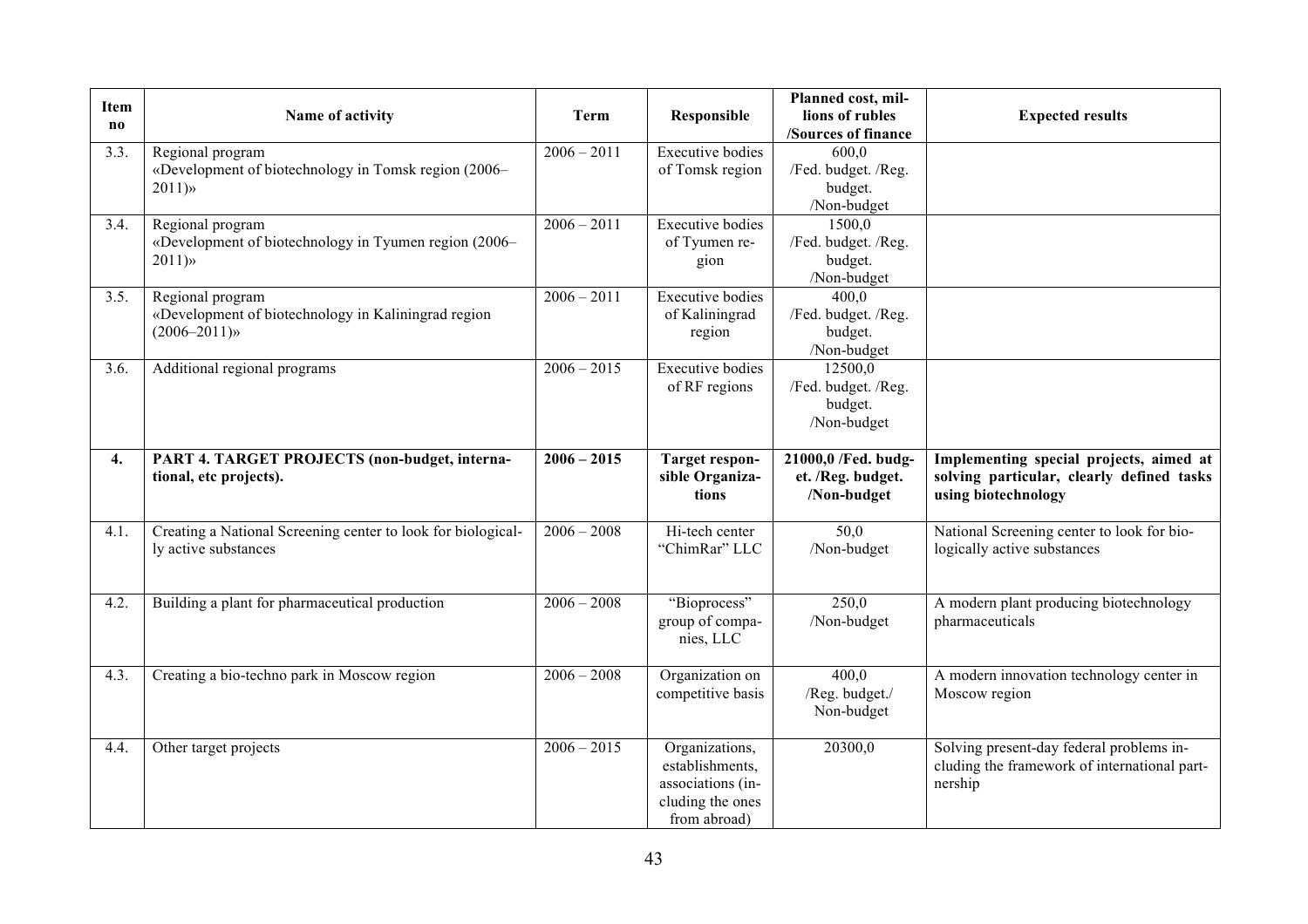| <b>Item</b><br>$\bf{no}$ | Name of activity                                                                           | Term          | Responsible                                                                                | Planned cost, mil-<br>lions of rubles<br>/Sources of finance | <b>Expected results</b>                                                                                     |  |  |
|--------------------------|--------------------------------------------------------------------------------------------|---------------|--------------------------------------------------------------------------------------------|--------------------------------------------------------------|-------------------------------------------------------------------------------------------------------------|--|--|
| 3.3.                     | Regional program<br>«Development of biotechnology in Tomsk region (2006–<br>2011)          | $2006 - 2011$ | <b>Executive bodies</b><br>of Tomsk region                                                 | 600,0<br>/Fed. budget. /Reg.<br>budget.<br>/Non-budget       |                                                                                                             |  |  |
| 3.4.                     | Regional program<br>«Development of biotechnology in Tyumen region (2006–<br>$2011)$ »     | $2006 - 2011$ | <b>Executive bodies</b><br>of Tyumen re-<br>gion                                           | 1500,0<br>/Fed. budget. /Reg.<br>budget.<br>/Non-budget      |                                                                                                             |  |  |
| 3.5.                     | Regional program<br>«Development of biotechnology in Kaliningrad region<br>$(2006 - 2011)$ | $2006 - 2011$ | <b>Executive bodies</b><br>of Kaliningrad<br>region                                        | 400,0<br>/Fed. budget. /Reg.<br>budget.<br>/Non-budget       |                                                                                                             |  |  |
| 3.6.                     | Additional regional programs                                                               | $2006 - 2015$ | <b>Executive bodies</b><br>of RF regions                                                   | 12500,0<br>/Fed. budget. /Reg.<br>budget.<br>/Non-budget     |                                                                                                             |  |  |
| 4.                       | PART 4. TARGET PROJECTS (non-budget, interna-<br>tional, etc projects).                    | $2006 - 2015$ | <b>Target respon-</b><br>sible Organiza-<br>tions                                          | 21000,0 /Fed. budg-<br>et. /Reg. budget.<br>/Non-budget      | Implementing special projects, aimed at<br>solving particular, clearly defined tasks<br>using biotechnology |  |  |
| 4.1.                     | Creating a National Screening center to look for biological-<br>ly active substances       | $2006 - 2008$ | Hi-tech center<br>"ChimRar" LLC                                                            | 50,0<br>/Non-budget                                          | National Screening center to look for bio-<br>logically active substances                                   |  |  |
| 4.2.                     | Building a plant for pharmaceutical production                                             | $2006 - 2008$ | "Bioprocess"<br>group of compa-<br>nies, LLC                                               | 250,0<br>/Non-budget                                         | A modern plant producing biotechnology<br>pharmaceuticals                                                   |  |  |
| 4.3.                     | Creating a bio-techno park in Moscow region                                                | $2006 - 2008$ | Organization on<br>competitive basis                                                       | 400,0<br>/Reg. budget./<br>Non-budget                        | A modern innovation technology center in<br>Moscow region                                                   |  |  |
| 4.4.                     | Other target projects                                                                      | $2006 - 2015$ | Organizations,<br>establishments,<br>associations (in-<br>cluding the ones<br>from abroad) | 20300,0                                                      | Solving present-day federal problems in-<br>cluding the framework of international part-<br>nership         |  |  |